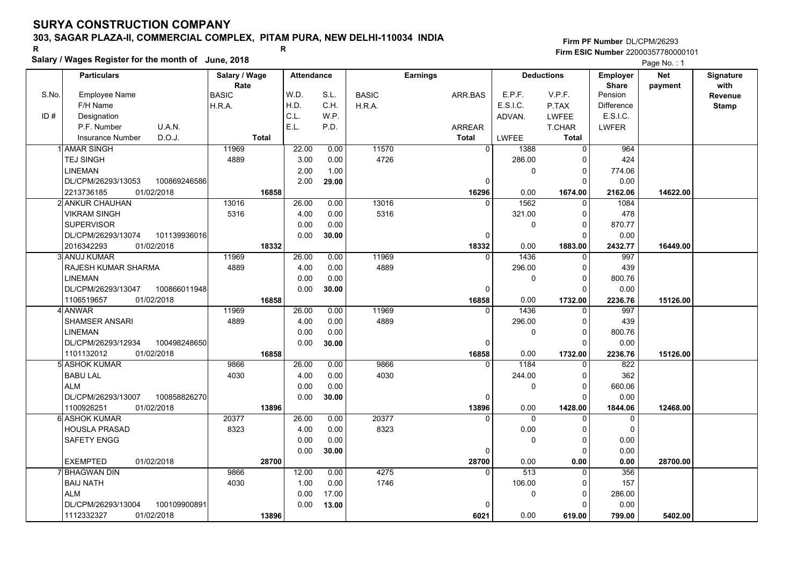### **303, SAGAR PLAZA-II, COMMERCIAL COMPLEX, PITAM PURA, NEW DELHI-110034 INDIA**

**Salary / Wages Register for the month of June, 2018 <sup>R</sup> <sup>R</sup>**

#### **Firm PF Number**DL/CPM/26293**Firm ESIC Number** 22000357780000101

|       | <b>Particulars</b>                 | Salary / Wage<br>Rate | <b>Attendance</b> |       |              | <b>Earnings</b> |                        | <b>Deductions</b> | Employer<br><b>Share</b> | <b>Net</b> | Signature<br>with |
|-------|------------------------------------|-----------------------|-------------------|-------|--------------|-----------------|------------------------|-------------------|--------------------------|------------|-------------------|
| S.No. | Employee Name                      | <b>BASIC</b>          | W.D.              | S.L.  | <b>BASIC</b> | ARR.BAS         | E.P.F.                 | V.P.F.            | Pension                  | payment    | Revenue           |
|       | F/H Name                           | H.R.A.                | H.D.              | C.H.  | H.R.A.       |                 | E.S.I.C.               | P.TAX             | <b>Difference</b>        |            | <b>Stamp</b>      |
| ID#   | Designation                        |                       | C.L.              | W.P.  |              |                 | ADVAN.                 | <b>LWFEE</b>      | E.S.I.C.                 |            |                   |
|       | U.A.N.<br>P.F. Number              |                       | E.L.              | P.D.  |              | <b>ARREAR</b>   |                        | T.CHAR            | LWFER                    |            |                   |
|       | D.O.J.<br><b>Insurance Number</b>  | <b>Total</b>          |                   |       |              | Total           | <b>LWFEE</b>           | <b>Total</b>      |                          |            |                   |
|       | 1 AMAR SINGH                       | 11969                 | 22.00             | 0.00  | 11570        |                 | $\overline{0}$<br>1388 | $\Omega$          | 964                      |            |                   |
|       | <b>TEJ SINGH</b>                   | 4889                  | 3.00              | 0.00  | 4726         |                 | 286.00                 | $\Omega$          | 424                      |            |                   |
|       | <b>LINEMAN</b>                     |                       | 2.00              | 1.00  |              |                 | $\mathbf 0$            | $\mathbf 0$       | 774.06                   |            |                   |
|       | 100869246586<br>DL/CPM/26293/13053 |                       | 2.00              | 29.00 |              |                 | $\mathbf 0$            | $\Omega$          | 0.00                     |            |                   |
|       | 2213736185<br>01/02/2018           | 16858                 |                   |       |              | 16296           | 0.00                   | 1674.00           | 2162.06                  | 14622.00   |                   |
|       | 2 ANKUR CHAUHAN                    | 13016                 | 26.00             | 0.00  | 13016        |                 | 1562<br>$\Omega$       | $\mathbf{0}$      | 1084                     |            |                   |
|       | <b>VIKRAM SINGH</b>                | 5316                  | 4.00              | 0.00  | 5316         |                 | 321.00                 | 0                 | 478                      |            |                   |
|       | <b>SUPERVISOR</b>                  |                       | 0.00              | 0.00  |              |                 | 0                      | $\Omega$          | 870.77                   |            |                   |
|       | DL/CPM/26293/13074<br>101139936016 |                       | 0.00              | 30.00 |              |                 | 0                      | $\Omega$          | 0.00                     |            |                   |
|       | 01/02/2018<br>2016342293           | 18332                 |                   |       |              | 18332           | 0.00                   | 1883.00           | 2432.77                  | 16449.00   |                   |
|       | 3 ANUJ KUMAR                       | 11969                 | 26.00             | 0.00  | 11969        |                 | 1436<br>$\Omega$       | $\mathbf{0}$      | 997                      |            |                   |
|       | <b>RAJESH KUMAR SHARMA</b>         | 4889                  | 4.00              | 0.00  | 4889         |                 | 296.00                 | $\Omega$          | 439                      |            |                   |
|       | <b>LINEMAN</b>                     |                       | 0.00              | 0.00  |              |                 | 0                      | $\Omega$          | 800.76                   |            |                   |
|       | DL/CPM/26293/13047<br>100866011948 |                       | 0.00              | 30.00 |              |                 | $\Omega$               | $\Omega$          | 0.00                     |            |                   |
|       | 1106519657<br>01/02/2018           | 16858                 |                   |       |              | 16858           | 0.00                   | 1732.00           | 2236.76                  | 15126.00   |                   |
|       | 4 ANWAR                            | 11969                 | 26.00             | 0.00  | 11969        |                 | $\Omega$<br>1436       | 0                 | 997                      |            |                   |
|       | <b>SHAMSER ANSARI</b>              | 4889                  | 4.00              | 0.00  | 4889         |                 | 296.00                 | 0                 | 439                      |            |                   |
|       | <b>LINEMAN</b>                     |                       | 0.00              | 0.00  |              |                 | 0                      | $\Omega$          | 800.76                   |            |                   |
|       | DL/CPM/26293/12934<br>100498248650 |                       | 0.00              | 30.00 |              |                 | $\Omega$               | $\Omega$          | 0.00                     |            |                   |
|       | 1101132012<br>01/02/2018           | 16858                 |                   |       |              | 16858           | 0.00                   | 1732.00           | 2236.76                  | 15126.00   |                   |
|       | 5 ASHOK KUMAR                      | 9866                  | 26.00             | 0.00  | 9866         |                 | 1184<br>$\Omega$       | 0                 | 822                      |            |                   |
|       | <b>BABU LAL</b>                    | 4030                  | 4.00              | 0.00  | 4030         |                 | 244.00                 | $\Omega$          | 362                      |            |                   |
|       | <b>ALM</b>                         |                       | 0.00              | 0.00  |              |                 | 0                      | $\mathbf 0$       | 660.06                   |            |                   |
|       | DL/CPM/26293/13007<br>100858826270 |                       | 0.00              | 30.00 |              |                 | $\mathbf 0$            | $\Omega$          | 0.00                     |            |                   |
|       | 01/02/2018<br>1100926251           | 13896                 |                   |       |              | 13896           | 0.00                   | 1428.00           | 1844.06                  | 12468.00   |                   |
|       | <b>6 ASHOK KUMAR</b>               | 20377                 | 26.00             | 0.00  | 20377        |                 | $\Omega$<br>0          | $\Omega$          | 0                        |            |                   |
|       | <b>HOUSLA PRASAD</b>               | 8323                  | 4.00              | 0.00  | 8323         |                 | 0.00                   | $\Omega$          | $\mathbf 0$              |            |                   |
|       | SAFETY ENGG                        |                       | 0.00              | 0.00  |              |                 | 0                      | $\Omega$          | 0.00                     |            |                   |
|       |                                    |                       | 0.00              | 30.00 |              |                 | $\mathbf 0$            | $\Omega$          | 0.00                     |            |                   |
|       | <b>EXEMPTED</b><br>01/02/2018      | 28700                 |                   |       |              | 28700           | 0.00                   | 0.00              | 0.00                     | 28700.00   |                   |
|       | 7 BHAGWAN DIN                      | 9866                  | 12.00             | 0.00  | 4275         |                 | 513<br>$\Omega$        | $\mathbf{0}$      | 356                      |            |                   |
|       | <b>BAIJ NATH</b>                   | 4030                  | 1.00              | 0.00  | 1746         |                 | 106.00                 | 0                 | 157                      |            |                   |
|       | <b>ALM</b>                         |                       | 0.00              | 17.00 |              |                 | 0                      | $\mathbf 0$       | 286.00                   |            |                   |
|       | DL/CPM/26293/13004<br>100109900891 |                       | 0.00              | 13.00 |              |                 | 0                      | $\Omega$          | 0.00                     |            |                   |
|       | 1112332327<br>01/02/2018           | 13896                 |                   |       |              | 6021            | 0.00                   | 619.00            | 799.00                   | 5402.00    |                   |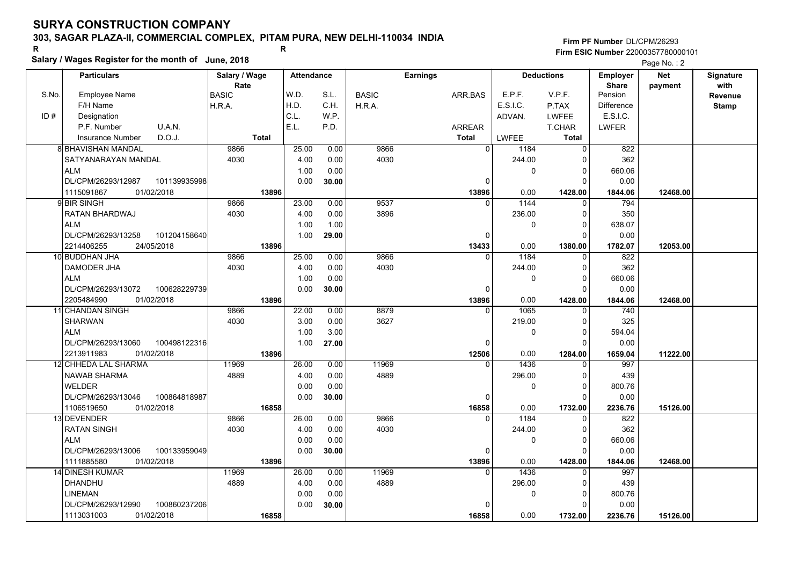### **303, SAGAR PLAZA-II, COMMERCIAL COMPLEX, PITAM PURA, NEW DELHI-110034 INDIA**

**Salary / Wages Register for the month of June, 2018 <sup>R</sup> <sup>R</sup>**

#### **Firm PF Number**DL/CPM/26293**Firm ESIC Number** 22000357780000101

|       | <b>Particulars</b>                               | Salary / Wage        | <b>Attendance</b> |       |              | <b>Earnings</b>   |                | <b>Deductions</b>       | Employer                | <b>Net</b> | Signature       |
|-------|--------------------------------------------------|----------------------|-------------------|-------|--------------|-------------------|----------------|-------------------------|-------------------------|------------|-----------------|
| S.No. | <b>Employee Name</b>                             | Rate<br><b>BASIC</b> | W.D.              | S.L.  | <b>BASIC</b> | ARR.BAS           | E.P.F.         | V.P.F.                  | <b>Share</b><br>Pension | payment    | with<br>Revenue |
|       | F/H Name                                         | H.R.A.               | H.D.              | C.H.  | H.R.A.       |                   | E.S.I.C.       | P.TAX                   | <b>Difference</b>       |            |                 |
| ID#   | Designation                                      |                      | C.L.              | W.P.  |              |                   | ADVAN.         | <b>LWFEE</b>            | E.S.I.C.                |            | <b>Stamp</b>    |
|       | U.A.N.<br>P.F. Number                            |                      | E.L.              | P.D.  |              | <b>ARREAR</b>     |                | T.CHAR                  | <b>LWFER</b>            |            |                 |
|       | D.O.J.<br>Insurance Number                       | <b>Total</b>         |                   |       |              | <b>Total</b>      | LWFEE          | <b>Total</b>            |                         |            |                 |
|       | <b>8 BHAVISHAN MANDAL</b>                        | 9866                 | 25.00             | 0.00  | 9866         | $\overline{0}$    |                | $\mathbf 0$             | 822                     |            |                 |
|       |                                                  | 4030                 |                   |       | 4030         |                   | 1184<br>244.00 | $\Omega$                | 362                     |            |                 |
|       | SATYANARAYAN MANDAL<br><b>ALM</b>                |                      | 4.00              | 0.00  |              |                   |                |                         |                         |            |                 |
|       | DL/CPM/26293/12987<br>101139935998               |                      | 1.00              | 0.00  |              | $\Omega$          | 0              | 0<br>$\Omega$           | 660.06<br>0.00          |            |                 |
|       | 1115091867<br>01/02/2018                         | 13896                | 0.00              | 30.00 |              |                   | 0.00           |                         |                         | 12468.00   |                 |
|       | 9 BIR SINGH                                      | 9866                 |                   |       | 9537         | 13896<br>$\Omega$ | 1144           | 1428.00                 | 1844.06                 |            |                 |
|       |                                                  |                      | 23.00             | 0.00  | 3896         |                   |                | 0                       | 794                     |            |                 |
|       | RATAN BHARDWAJ                                   | 4030                 | 4.00              | 0.00  |              |                   | 236.00         | $\mathbf 0$             | 350                     |            |                 |
|       | <b>ALM</b>                                       |                      | 1.00              | 1.00  |              |                   | 0              | $\mathbf 0$             | 638.07                  |            |                 |
|       | DL/CPM/26293/13258<br>101204158640               |                      | 1.00              | 29.00 |              | $\Omega$          |                | $\Omega$                | 0.00                    |            |                 |
|       | 2214406255<br>24/05/2018                         | 13896                | 25.00             |       | 9866         | 13433<br>$\Omega$ | 0.00<br>1184   | 1380.00                 | 1782.07                 | 12053.00   |                 |
|       | 10 BUDDHAN JHA                                   | 9866                 |                   | 0.00  |              |                   |                | $\mathbf 0$             | 822                     |            |                 |
|       | DAMODER JHA                                      | 4030                 | 4.00<br>1.00      | 0.00  | 4030         |                   | 244.00         | 0                       | 362                     |            |                 |
|       | <b>ALM</b>                                       |                      |                   | 0.00  |              |                   | 0              | $\mathbf 0$<br>$\Omega$ | 660.06                  |            |                 |
|       | DL/CPM/26293/13072<br>100628229739               |                      | 0.00              | 30.00 |              | O                 |                |                         | 0.00                    |            |                 |
|       | 01/02/2018<br>2205484990<br>11 CHANDAN SINGH     | 13896<br>9866        | 22.00             | 0.00  | 8879         | 13896<br>$\Omega$ | 0.00<br>1065   | 1428.00                 | 1844.06<br>740          | 12468.00   |                 |
|       | <b>SHARWAN</b>                                   | 4030                 | 3.00              |       | 3627         |                   | 219.00         | 0<br>$\mathbf 0$        | 325                     |            |                 |
|       | <b>ALM</b>                                       |                      |                   | 0.00  |              |                   |                |                         |                         |            |                 |
|       |                                                  |                      | 1.00              | 3.00  |              |                   | 0              | $\mathbf 0$<br>$\Omega$ | 594.04                  |            |                 |
|       | DL/CPM/26293/13060<br>100498122316               |                      | 1.00              | 27.00 |              | O                 |                |                         | 0.00                    |            |                 |
|       | 2213911983<br>01/02/2018<br>12 CHHEDA LAL SHARMA | 13896<br>11969       | 26.00             | 0.00  | 11969        | 12506<br>$\Omega$ | 0.00<br>1436   | 1284.00<br>$\Omega$     | 1659.04<br>997          | 11222.00   |                 |
|       |                                                  |                      |                   |       |              |                   |                |                         |                         |            |                 |
|       | <b>NAWAB SHARMA</b>                              | 4889                 | 4.00              | 0.00  | 4889         |                   | 296.00         | 0                       | 439                     |            |                 |
|       | <b>WELDER</b>                                    |                      | 0.00              | 0.00  |              |                   | 0              | $\mathbf 0$             | 800.76                  |            |                 |
|       | DL/CPM/26293/13046<br>100864818987               |                      | 0.00              | 30.00 |              | 0                 |                | $\mathbf 0$             | 0.00                    |            |                 |
|       | 1106519650<br>01/02/2018                         | 16858<br>9866        | 26.00             |       | 9866         | 16858<br>$\Omega$ | 0.00<br>1184   | 1732.00                 | 2236.76<br>822          | 15126.00   |                 |
|       | 13 DEVENDER                                      | 4030                 |                   | 0.00  |              |                   |                | $\mathbf 0$             |                         |            |                 |
|       | <b>RATAN SINGH</b>                               |                      | 4.00              | 0.00  | 4030         |                   | 244.00         | 0                       | 362                     |            |                 |
|       | <b>ALM</b>                                       |                      | 0.00              | 0.00  |              |                   | 0              | $\mathbf 0$<br>$\Omega$ | 660.06                  |            |                 |
|       | DL/CPM/26293/13006<br>100133959049               |                      | 0.00              | 30.00 |              | 0                 |                |                         | 0.00                    |            |                 |
|       | 1111885580<br>01/02/2018                         | 13896                |                   |       |              | 13896             | 0.00           | 1428.00                 | 1844.06                 | 12468.00   |                 |
|       | <b>14 DINESH KUMAR</b>                           | 11969                | 26.00             | 0.00  | 11969        | $\Omega$          | 1436           | $\Omega$                | 997                     |            |                 |
|       | DHANDHU                                          | 4889                 | 4.00              | 0.00  | 4889         |                   | 296.00         | 0                       | 439                     |            |                 |
|       | <b>LINEMAN</b>                                   |                      | 0.00              | 0.00  |              |                   | 0              | $\mathbf 0$             | 800.76                  |            |                 |
|       | DL/CPM/26293/12990<br>100860237206               |                      | 0.00              | 30.00 |              | U                 |                | $\Omega$                | 0.00                    |            |                 |
|       | 01/02/2018<br>1113031003                         | 16858                |                   |       |              | 16858             | 0.00           | 1732.00                 | 2236.76                 | 15126.00   |                 |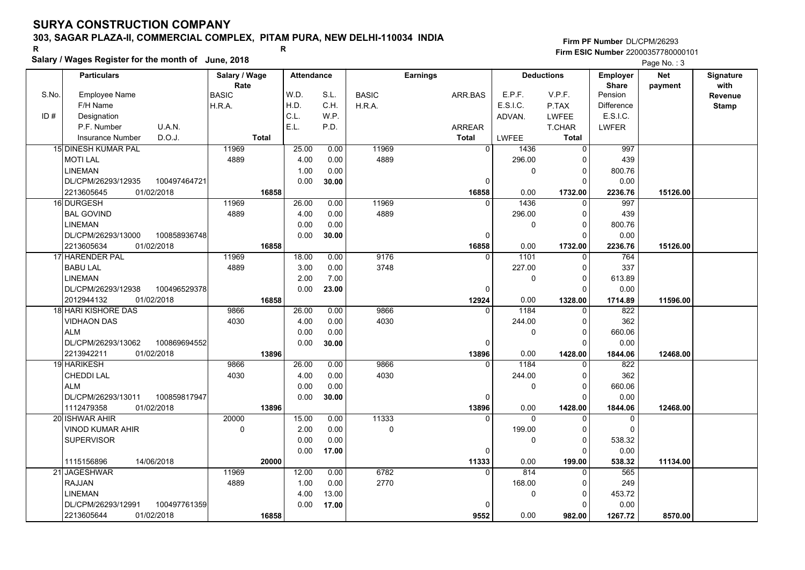### **303, SAGAR PLAZA-II, COMMERCIAL COMPLEX, PITAM PURA, NEW DELHI-110034 INDIA**

# **Salary / Wages Register for the month of June, 2018 <sup>R</sup> <sup>R</sup>**

|       | Salary / wages Register for the month of June, 2018 |               |                   |       |              |                 |              |                   | Page No.: 3       |            |              |
|-------|-----------------------------------------------------|---------------|-------------------|-------|--------------|-----------------|--------------|-------------------|-------------------|------------|--------------|
|       | <b>Particulars</b>                                  | Salary / Wage | <b>Attendance</b> |       |              | <b>Earnings</b> |              | <b>Deductions</b> | <b>Employer</b>   | <b>Net</b> | Signature    |
|       |                                                     | Rate          |                   |       |              |                 |              |                   | <b>Share</b>      | payment    | with         |
| S.No. | <b>Employee Name</b>                                | <b>BASIC</b>  | W.D.              | S.L.  | <b>BASIC</b> | ARR.BAS         | E.P.F.       | V.P.F.            | Pension           |            | Revenue      |
|       | F/H Name                                            | H.R.A.        | H.D.              | C.H.  | H.R.A.       |                 | E.S.I.C.     | P.TAX             | <b>Difference</b> |            | <b>Stamp</b> |
| ID#   | Designation                                         |               | C.L.              | W.P.  |              |                 | ADVAN.       | <b>LWFEE</b>      | E.S.I.C.          |            |              |
|       | U.A.N.<br>P.F. Number                               |               | E.L.              | P.D.  |              | <b>ARREAR</b>   |              | T.CHAR            | <b>LWFER</b>      |            |              |
|       | D.O.J.<br><b>Insurance Number</b>                   | <b>Total</b>  |                   |       |              | <b>Total</b>    | <b>LWFEE</b> | Total             |                   |            |              |
|       | 15 DINESH KUMAR PAL                                 | 11969         | 25.00             | 0.00  | 11969        | $\Omega$        | 1436         | $\Omega$          | 997               |            |              |
|       | <b>MOTI LAL</b>                                     | 4889          | 4.00              | 0.00  | 4889         |                 | 296.00       | $\Omega$          | 439               |            |              |
|       | <b>LINEMAN</b>                                      |               | 1.00              | 0.00  |              |                 | 0            | 0                 | 800.76            |            |              |
|       | DL/CPM/26293/12935<br>100497464721                  |               | 0.00              | 30.00 |              | 0               |              | $\Omega$          | 0.00              |            |              |
|       | 2213605645<br>01/02/2018                            | 16858         |                   |       |              | 16858           | 0.00         | 1732.00           | 2236.76           | 15126.00   |              |
|       | 16 DURGESH                                          | 11969         | 26.00             | 0.00  | 11969        | $\Omega$        | 1436         | $\Omega$          | 997               |            |              |
|       | <b>BAL GOVIND</b>                                   | 4889          | 4.00              | 0.00  | 4889         |                 | 296.00       | 0                 | 439               |            |              |
|       | <b>LINEMAN</b>                                      |               | 0.00              | 0.00  |              |                 | 0            | $\Omega$          | 800.76            |            |              |
|       | DL/CPM/26293/13000<br>100858936748                  |               | 0.00              | 30.00 |              | $\Omega$        |              | $\Omega$          | 0.00              |            |              |
|       | 2213605634<br>01/02/2018                            | 16858         |                   |       |              | 16858           | 0.00         | 1732.00           | 2236.76           | 15126.00   |              |
|       | 17 HARENDER PAL                                     | 11969         | 18.00             | 0.00  | 9176         | $\Omega$        | 1101         | 0                 | 764               |            |              |
|       | <b>BABU LAL</b>                                     | 4889          | 3.00              | 0.00  | 3748         |                 | 227.00       | 0                 | 337               |            |              |
|       | <b>LINEMAN</b>                                      |               | 2.00              | 7.00  |              |                 | 0            | $\Omega$          | 613.89            |            |              |
|       | DL/CPM/26293/12938<br>100496529378                  |               | 0.00              | 23.00 |              | $\Omega$        |              | $\Omega$          | 0.00              |            |              |
|       | 2012944132<br>01/02/2018                            | 16858         |                   |       |              | 12924           | 0.00         | 1328.00           | 1714.89           | 11596.00   |              |
|       | 18 HARI KISHORE DAS                                 | 9866          | 26.00             | 0.00  | 9866         | $\Omega$        | 1184         | $\Omega$          | $\overline{822}$  |            |              |
|       | <b>VIDHAON DAS</b>                                  | 4030          | 4.00              | 0.00  | 4030         |                 | 244.00       | $\Omega$          | 362               |            |              |
|       | <b>ALM</b>                                          |               | 0.00              | 0.00  |              |                 | 0            | $\mathbf 0$       | 660.06            |            |              |
|       | DL/CPM/26293/13062<br>100869694552                  |               | 0.00              | 30.00 |              | $\Omega$        |              | $\Omega$          | 0.00              |            |              |
|       | 2213942211<br>01/02/2018                            | 13896         |                   |       |              | 13896           | 0.00         | 1428.00           | 1844.06           | 12468.00   |              |
|       | 19 HARIKESH                                         | 9866          | 26.00             | 0.00  | 9866         | $\Omega$        | 1184         | $\Omega$          | 822               |            |              |
|       | CHEDDI LAL                                          | 4030          | 4.00              | 0.00  | 4030         |                 | 244.00       | 0                 | 362               |            |              |
|       | <b>ALM</b>                                          |               | 0.00              | 0.00  |              |                 | 0            | $\Omega$          | 660.06            |            |              |
|       | DL/CPM/26293/13011<br>100859817947                  |               | 0.00              | 30.00 |              | 0               |              | 0                 | 0.00              |            |              |
|       | 01/02/2018<br>1112479358                            | 13896         |                   |       |              | 13896           | 0.00         | 1428.00           | 1844.06           | 12468.00   |              |
|       | 20 ISHWAR AHIR                                      | 20000         | 15.00             | 0.00  | 11333        | $\Omega$        | $\Omega$     | $\Omega$          | $\mathbf 0$       |            |              |
|       | <b>VINOD KUMAR AHIR</b>                             | $\mathbf 0$   | 2.00              | 0.00  | 0            |                 | 199.00       | $\Omega$          | $\Omega$          |            |              |
|       | <b>SUPERVISOR</b>                                   |               | 0.00              | 0.00  |              |                 | $\Omega$     | $\Omega$          | 538.32            |            |              |
|       |                                                     |               | 0.00              | 17.00 |              | $\Omega$        |              | $\Omega$          | 0.00              |            |              |
|       | 1115156896<br>14/06/2018                            | 20000         |                   |       |              | 11333           | 0.00         | 199.00            | 538.32            | 11134.00   |              |
|       | 21 JAGESHWAR                                        | 11969         | 12.00             | 0.00  | 6782         | $\Omega$        | 814          | $\Omega$          | 565               |            |              |
|       | <b>RAJJAN</b>                                       | 4889          | 1.00              | 0.00  | 2770         |                 | 168.00       | 0                 | 249               |            |              |
|       | <b>LINEMAN</b>                                      |               | 4.00              | 13.00 |              |                 | 0            | 0                 | 453.72            |            |              |
|       | DL/CPM/26293/12991<br>100497761359                  |               | 0.00              | 17.00 |              | $\Omega$        |              | 0                 | 0.00              |            |              |
|       | 2213605644<br>01/02/2018                            | 16858         |                   |       |              | 9552            | 0.00         | 982.00            | 1267.72           | 8570.00    |              |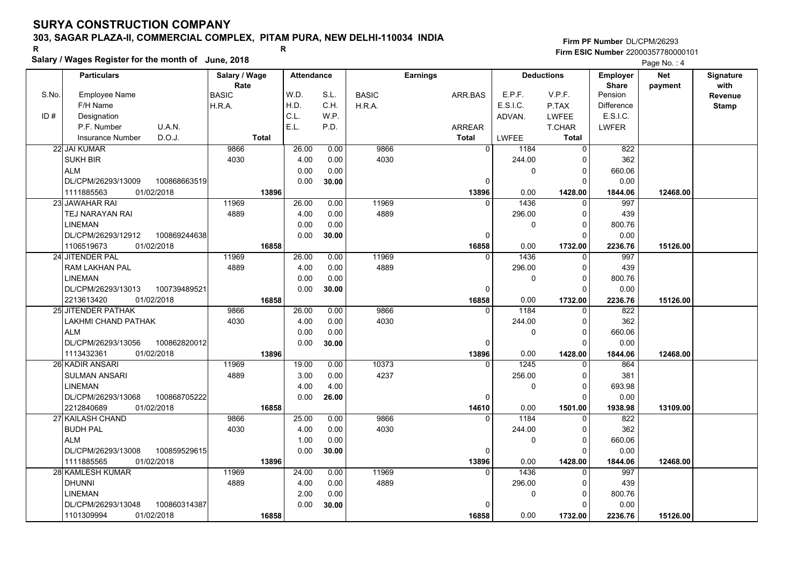### **303, SAGAR PLAZA-II, COMMERCIAL COMPLEX, PITAM PURA, NEW DELHI-110034 INDIA**

**Salary / Wages Register for the month of June, 2018 <sup>R</sup> <sup>R</sup>**

#### **Firm PF Number**DL/CPM/26293**Firm ESIC Number** 22000357780000101

|       | <b>Particulars</b>                 | Salary / Wage        | <b>Attendance</b> |       |              | <b>Earnings</b> |                        | <b>Deductions</b> | Employer                | <b>Net</b> | Signature              |
|-------|------------------------------------|----------------------|-------------------|-------|--------------|-----------------|------------------------|-------------------|-------------------------|------------|------------------------|
| S.No. | Employee Name                      | Rate<br><b>BASIC</b> | W.D.              | S.L.  | <b>BASIC</b> | ARR.BAS         | E.P.F.                 | V.P.F.            | <b>Share</b><br>Pension | payment    | with<br><b>Revenue</b> |
|       | F/H Name                           | H.R.A.               | H.D.              | C.H.  | H.R.A.       |                 | E.S.I.C.               | P.TAX             | <b>Difference</b>       |            | <b>Stamp</b>           |
| ID#   | Designation                        |                      | C.L.              | W.P.  |              |                 | ADVAN.                 | LWFEE             | E.S.I.C.                |            |                        |
|       | U.A.N.<br>P.F. Number              |                      | E.L.              | P.D.  |              | ARREAR          |                        | T.CHAR            | <b>LWFER</b>            |            |                        |
|       | D.O.J.<br><b>Insurance Number</b>  | <b>Total</b>         |                   |       |              | <b>Total</b>    | <b>LWFEE</b>           | Total             |                         |            |                        |
|       | 22 JAI KUMAR                       | 9866                 | 26.00             | 0.00  | 9866         |                 | $\overline{0}$<br>1184 | 0                 | 822                     |            |                        |
|       | <b>SUKH BIR</b>                    | 4030                 | 4.00              | 0.00  | 4030         |                 | 244.00                 | $\Omega$          | 362                     |            |                        |
|       | <b>ALM</b>                         |                      | 0.00              | 0.00  |              |                 | 0                      | $\mathbf 0$       | 660.06                  |            |                        |
|       | DL/CPM/26293/13009<br>100868663519 |                      | 0.00              | 30.00 |              |                 | $\mathbf 0$            | $\Omega$          | 0.00                    |            |                        |
|       | 1111885563<br>01/02/2018           | 13896                |                   |       |              | 13896           | 0.00                   | 1428.00           | 1844.06                 | 12468.00   |                        |
|       | 23 JAWAHAR RAI                     | 11969                | 26.00             | 0.00  | 11969        |                 | 1436<br>$\Omega$       | $\Omega$          | 997                     |            |                        |
|       | <b>TEJ NARAYAN RAI</b>             | 4889                 | 4.00              | 0.00  | 4889         |                 | 296.00                 | $\Omega$          | 439                     |            |                        |
|       | <b>LINEMAN</b>                     |                      | 0.00              | 0.00  |              |                 | 0                      | $\mathbf 0$       | 800.76                  |            |                        |
|       | DL/CPM/26293/12912<br>100869244638 |                      | 0.00              | 30.00 |              |                 | $\mathbf 0$            | $\Omega$          | 0.00                    |            |                        |
|       | 1106519673<br>01/02/2018           | 16858                |                   |       |              | 16858           | 0.00                   | 1732.00           | 2236.76                 | 15126.00   |                        |
|       | 24 JITENDER PAL                    | 11969                | 26.00             | 0.00  | 11969        |                 | 1436<br>$\Omega$       | $\Omega$          | 997                     |            |                        |
|       | RAM LAKHAN PAL                     | 4889                 | 4.00              | 0.00  | 4889         |                 | 296.00                 | $\Omega$          | 439                     |            |                        |
|       | <b>LINEMAN</b>                     |                      | 0.00              | 0.00  |              |                 | 0                      | $\mathbf 0$       | 800.76                  |            |                        |
|       | DL/CPM/26293/13013<br>100739489521 |                      | 0.00              | 30.00 |              |                 | $\Omega$               | $\Omega$          | 0.00                    |            |                        |
|       | 01/02/2018<br>2213613420           | 16858                |                   |       |              | 16858           | 0.00                   | 1732.00           | 2236.76                 | 15126.00   |                        |
|       | 25 JITENDER PATHAK                 | 9866                 | 26.00             | 0.00  | 9866         |                 | 1184<br>$\Omega$       | $\mathbf 0$       | 822                     |            |                        |
|       | LAKHMI CHAND PATHAK                | 4030                 | 4.00              | 0.00  | 4030         |                 | 244.00                 | $\Omega$          | 362                     |            |                        |
|       | <b>ALM</b>                         |                      | 0.00              | 0.00  |              |                 | 0                      | $\mathbf 0$       | 660.06                  |            |                        |
|       | 100862820012<br>DL/CPM/26293/13056 |                      | 0.00              | 30.00 |              |                 | $\Omega$               | $\Omega$          | 0.00                    |            |                        |
|       | 1113432361<br>01/02/2018           | 13896                |                   |       |              | 13896           | 0.00                   | 1428.00           | 1844.06                 | 12468.00   |                        |
|       | 26 KADIR ANSARI                    | 11969                | 19.00             | 0.00  | 10373        |                 | 1245<br>$\Omega$       | $\Omega$          | 864                     |            |                        |
|       | <b>SULMAN ANSARI</b>               | 4889                 | 3.00              | 0.00  | 4237         |                 | 256.00                 | $\Omega$          | 381                     |            |                        |
|       | <b>LINEMAN</b>                     |                      | 4.00              | 4.00  |              |                 | 0                      | $\Omega$          | 693.98                  |            |                        |
|       | 100868705222<br>DL/CPM/26293/13068 |                      | 0.00              | 26.00 |              |                 | $\mathbf 0$            | $\Omega$          | 0.00                    |            |                        |
|       | 01/02/2018<br>2212840689           | 16858                |                   |       |              | 14610           | 0.00                   | 1501.00           | 1938.98                 | 13109.00   |                        |
|       | 27 KAILASH CHAND                   | 9866                 | 25.00             | 0.00  | 9866         |                 | 1184<br>$\Omega$       | 0                 | 822                     |            |                        |
|       | <b>BUDH PAL</b>                    | 4030                 | 4.00              | 0.00  | 4030         |                 | 244.00                 | $\Omega$          | 362                     |            |                        |
|       | <b>ALM</b>                         |                      | 1.00              | 0.00  |              |                 | 0                      | $\mathbf 0$       | 660.06                  |            |                        |
|       | DL/CPM/26293/13008<br>100859529615 |                      | 0.00              | 30.00 |              |                 | $\mathbf 0$            | $\Omega$          | 0.00                    |            |                        |
|       | 1111885565<br>01/02/2018           | 13896                |                   |       |              | 13896           | 0.00                   | 1428.00           | 1844.06                 | 12468.00   |                        |
|       | 28 KAMLESH KUMAR                   | 11969                | 24.00             | 0.00  | 11969        |                 | 1436<br>$\Omega$       | $\Omega$          | 997                     |            |                        |
|       | <b>DHUNNI</b>                      | 4889                 | 4.00              | 0.00  | 4889         |                 | 296.00                 | $\Omega$          | 439                     |            |                        |
|       | <b>LINEMAN</b>                     |                      | 2.00              | 0.00  |              |                 | 0                      | $\mathbf 0$       | 800.76                  |            |                        |
|       | 100860314387<br>DL/CPM/26293/13048 |                      | 0.00              | 30.00 |              |                 | $\Omega$               | $\Omega$          | 0.00                    |            |                        |
|       | 1101309994<br>01/02/2018           | 16858                |                   |       |              | 16858           | 0.00                   | 1732.00           | 2236.76                 | 15126.00   |                        |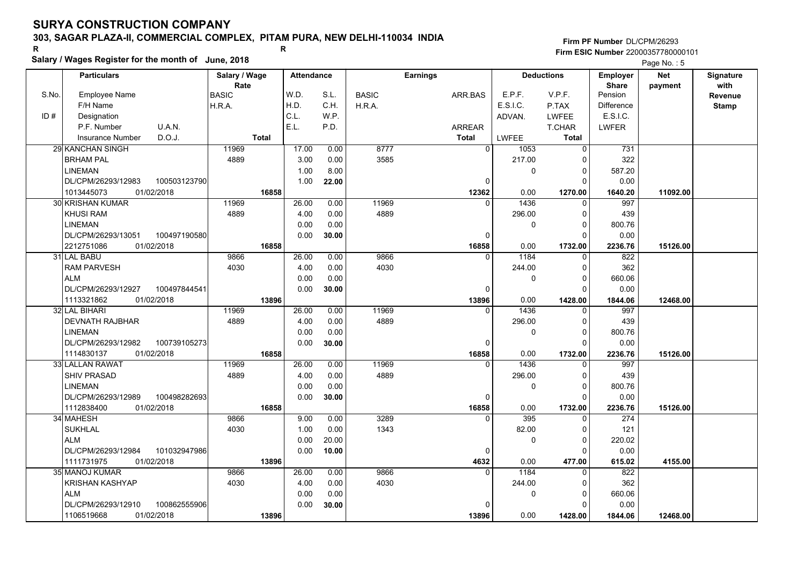### **303, SAGAR PLAZA-II, COMMERCIAL COMPLEX, PITAM PURA, NEW DELHI-110034 INDIA**

# **Salary / Wages Register for the month of June, 2018 <sup>R</sup> <sup>R</sup>**

|       | Salary / wages Register for the month of June, 2018 |               |                   |       |              |                 |                | Page No.: 5  |                   |                   |            |              |
|-------|-----------------------------------------------------|---------------|-------------------|-------|--------------|-----------------|----------------|--------------|-------------------|-------------------|------------|--------------|
|       | <b>Particulars</b>                                  | Salary / Wage | <b>Attendance</b> |       |              | <b>Earnings</b> |                |              | <b>Deductions</b> | <b>Employer</b>   | <b>Net</b> | Signature    |
|       |                                                     | Rate          |                   |       |              |                 |                |              |                   | <b>Share</b>      | payment    | with         |
| S.No. | <b>Employee Name</b>                                | <b>BASIC</b>  | W.D.              | S.L.  | <b>BASIC</b> |                 | ARR.BAS        | E.P.F.       | V.P.F.            | Pension           |            | Revenue      |
|       | F/H Name                                            | H.R.A.        | H.D.              | C.H.  | H.R.A.       |                 |                | E.S.I.C.     | P.TAX             | <b>Difference</b> |            | <b>Stamp</b> |
| ID#   | Designation                                         |               | C.L.              | W.P.  |              |                 |                | ADVAN.       | <b>LWFEE</b>      | E.S.I.C.          |            |              |
|       | U.A.N.<br>P.F. Number                               |               | E.L.              | P.D.  |              |                 | <b>ARREAR</b>  |              | <b>T.CHAR</b>     | <b>LWFER</b>      |            |              |
|       | D.O.J.<br>Insurance Number                          | <b>Total</b>  |                   |       |              |                 | <b>Total</b>   | <b>LWFEE</b> | <b>Total</b>      |                   |            |              |
|       | <b>29 KANCHAN SINGH</b>                             | 11969         | 17.00             | 0.00  | 8777         |                 | $\overline{0}$ | 1053         | $\mathbf 0$       | 731               |            |              |
|       | <b>BRHAM PAL</b>                                    | 4889          | 3.00              | 0.00  | 3585         |                 |                | 217.00       | $\Omega$          | 322               |            |              |
|       | LINEMAN                                             |               | 1.00              | 8.00  |              |                 |                | 0            | $\mathbf 0$       | 587.20            |            |              |
|       | 100503123790<br>DL/CPM/26293/12983                  |               | 1.00              | 22.00 |              |                 | 0              |              | $\Omega$          | 0.00              |            |              |
|       | 1013445073<br>01/02/2018                            | 16858         |                   |       |              |                 | 12362          | 0.00         | 1270.00           | 1640.20           | 11092.00   |              |
|       | <b>30 KRISHAN KUMAR</b>                             | 11969         | 26.00             | 0.00  | 11969        |                 | $\Omega$       | 1436         | $\Omega$          | 997               |            |              |
|       | <b>KHUSI RAM</b>                                    | 4889          | 4.00              | 0.00  | 4889         |                 |                | 296.00       | 0                 | 439               |            |              |
|       | LINEMAN                                             |               | 0.00              | 0.00  |              |                 |                | 0            | $\Omega$          | 800.76            |            |              |
|       | DL/CPM/26293/13051<br>100497190580                  |               | 0.00              | 30.00 |              |                 | 0              |              | $\Omega$          | 0.00              |            |              |
|       | 2212751086<br>01/02/2018                            | 16858         |                   |       |              |                 | 16858          | 0.00         | 1732.00           | 2236.76           | 15126.00   |              |
|       | 31 LAL BABU                                         | 9866          | 26.00             | 0.00  | 9866         |                 | $\Omega$       | 1184         | 0                 | 822               |            |              |
|       | <b>RAM PARVESH</b>                                  | 4030          | 4.00              | 0.00  | 4030         |                 |                | 244.00       | $\mathbf 0$       | 362               |            |              |
|       | <b>ALM</b>                                          |               | 0.00              | 0.00  |              |                 |                | 0            | $\Omega$          | 660.06            |            |              |
|       | 100497844541<br>DL/CPM/26293/12927                  |               | 0.00              | 30.00 |              |                 | $\Omega$       |              | $\Omega$          | 0.00              |            |              |
|       | 1113321862<br>01/02/2018                            | 13896         |                   |       |              |                 | 13896          | 0.00         | 1428.00           | 1844.06           | 12468.00   |              |
|       | 32 LAL BIHARI                                       | 11969         | 26.00             | 0.00  | 11969        |                 | $\Omega$       | 1436         | $\Omega$          | 997               |            |              |
|       | <b>DEVNATH RAJBHAR</b>                              | 4889          | 4.00              | 0.00  | 4889         |                 |                | 296.00       | $\Omega$          | 439               |            |              |
|       | LINEMAN                                             |               | 0.00              | 0.00  |              |                 |                | 0            | $\mathbf 0$       | 800.76            |            |              |
|       | DL/CPM/26293/12982<br>100739105273                  |               | 0.00              | 30.00 |              |                 | $\Omega$       |              | $\Omega$          | 0.00              |            |              |
|       | 1114830137<br>01/02/2018                            | 16858         |                   |       |              |                 | 16858          | 0.00         | 1732.00           | 2236.76           | 15126.00   |              |
|       | 33 LALLAN RAWAT                                     | 11969         | 26.00             | 0.00  | 11969        |                 | $\Omega$       | 1436         | $\Omega$          | 997               |            |              |
|       | <b>SHIV PRASAD</b>                                  | 4889          | 4.00              | 0.00  | 4889         |                 |                | 296.00       | 0                 | 439               |            |              |
|       | LINEMAN                                             |               | 0.00              | 0.00  |              |                 |                | 0            | $\Omega$          | 800.76            |            |              |
|       | DL/CPM/26293/12989<br>100498282693                  |               | 0.00              | 30.00 |              |                 | 0              |              | $\Omega$          | 0.00              |            |              |
|       | 1112838400<br>01/02/2018                            | 16858         |                   |       |              |                 | 16858          | 0.00         | 1732.00           | 2236.76           | 15126.00   |              |
|       | 34 MAHESH                                           | 9866          | 9.00              | 0.00  | 3289         |                 | $\Omega$       | 395          | 0                 | 274               |            |              |
|       | <b>SUKHLAL</b>                                      | 4030          | 1.00              | 0.00  | 1343         |                 |                | 82.00        | $\Omega$          | 121               |            |              |
|       | <b>ALM</b>                                          |               | 0.00              | 20.00 |              |                 |                | 0            | $\Omega$          | 220.02            |            |              |
|       | DL/CPM/26293/12984<br>101032947986                  |               | 0.00              | 10.00 |              |                 | $\mathbf 0$    |              | $\Omega$          | 0.00              |            |              |
|       | 1111731975<br>01/02/2018                            | 13896         |                   |       |              |                 | 4632           | 0.00         | 477.00            | 615.02            | 4155.00    |              |
|       | <b>35 MANOJ KUMAR</b>                               | 9866          | 26.00             | 0.00  | 9866         |                 | $\Omega$       | 1184         | $\Omega$          | 822               |            |              |
|       | <b>KRISHAN KASHYAP</b>                              | 4030          | 4.00              | 0.00  | 4030         |                 |                | 244.00       | $\Omega$          | 362               |            |              |
|       | <b>ALM</b>                                          |               | 0.00              | 0.00  |              |                 |                | 0            | 0                 | 660.06            |            |              |
|       | DL/CPM/26293/12910<br>100862555906                  |               | 0.00              | 30.00 |              |                 | $\Omega$       |              | $\Omega$          | 0.00              |            |              |
|       | 01/02/2018<br>1106519668                            | 13896         |                   |       |              |                 | 13896          | 0.00         | 1428.00           | 1844.06           | 12468.00   |              |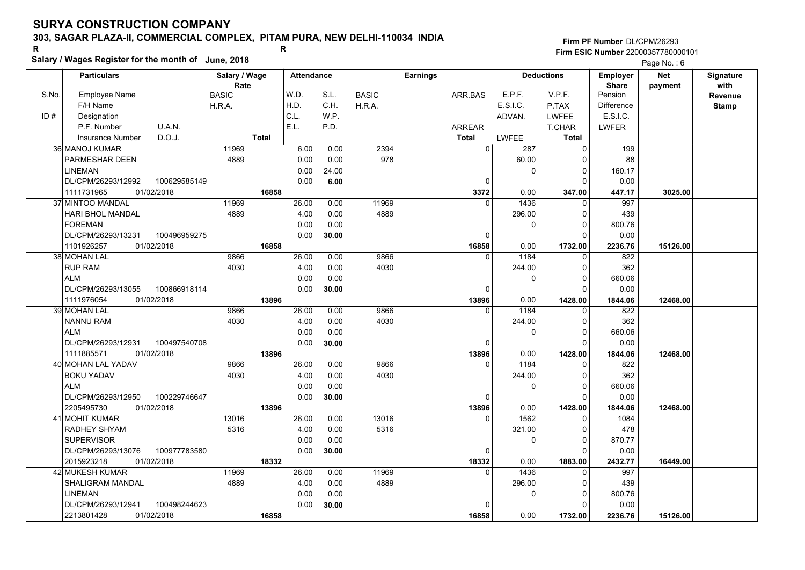### **303, SAGAR PLAZA-II, COMMERCIAL COMPLEX, PITAM PURA, NEW DELHI-110034 INDIA**

# **Salary / Wages Register for the month of June, 2018 <sup>R</sup> <sup>R</sup>**

|       | Salary / Wages Register for the month of June, 2018 |               |                   |              |               |                   |                        |                    | Page No.: 6    |            |                  |
|-------|-----------------------------------------------------|---------------|-------------------|--------------|---------------|-------------------|------------------------|--------------------|----------------|------------|------------------|
|       | <b>Particulars</b>                                  | Salary / Wage | <b>Attendance</b> |              |               | <b>Earnings</b>   |                        | <b>Deductions</b>  | Employer       | <b>Net</b> | <b>Signature</b> |
|       |                                                     | Rate          |                   |              |               |                   |                        |                    | <b>Share</b>   | payment    | with             |
| S.No. | <b>Employee Name</b>                                | <b>BASIC</b>  | W.D.              | S.L.         | <b>BASIC</b>  | ARR.BAS           | E.P.F.                 | V.P.F.             | Pension        |            | <b>Revenue</b>   |
|       | F/H Name                                            | H.R.A.        | H.D.              | C.H.         | H.R.A.        |                   | E.S.I.C.               | P.TAX              | Difference     |            | <b>Stamp</b>     |
| ID#   | Designation                                         |               | C.L.              | W.P.         |               |                   | ADVAN.                 | <b>LWFEE</b>       | E.S.I.C.       |            |                  |
|       | P.F. Number<br>U.A.N.                               |               | E.L.              | P.D.         |               | ARREAR            |                        | T.CHAR             | <b>LWFER</b>   |            |                  |
|       | D.O.J.<br><b>Insurance Number</b>                   | Total         |                   |              |               | <b>Total</b>      | <b>LWFEE</b>           | <b>Total</b>       |                |            |                  |
|       | 36 MANOJ KUMAR                                      | 11969         | 6.00              | 0.00         | 2394          | $\overline{0}$    | 287                    | $\overline{0}$     | 199            |            |                  |
|       | PARMESHAR DEEN                                      | 4889          | 0.00              | 0.00         | 978           |                   | 60.00                  | 0                  | 88             |            |                  |
|       | LINEMAN                                             |               | 0.00              | 24.00        |               |                   | $\mathbf{0}$           | 0                  | 160.17         |            |                  |
|       | DL/CPM/26293/12992<br>100629585149                  |               | 0.00              | 6.00         |               | $\Omega$          |                        | $\Omega$           | 0.00           |            |                  |
|       | 1111731965<br>01/02/2018                            | 16858         |                   |              |               | 3372<br>$\Omega$  | 0.00                   | 347.00<br>$\Omega$ | 447.17<br>997  | 3025.00    |                  |
|       | 37 MINTOO MANDAL<br><b>HARI BHOL MANDAL</b>         | 11969<br>4889 | 26.00<br>4.00     | 0.00<br>0.00 | 11969<br>4889 |                   | 1436                   |                    | 439            |            |                  |
|       | <b>FOREMAN</b>                                      |               |                   |              |               |                   | 296.00<br>$\mathbf{0}$ | $\Omega$           |                |            |                  |
|       |                                                     |               | 0.00              | 0.00         |               | $\Omega$          |                        | 0<br>0             | 800.76         |            |                  |
|       | DL/CPM/26293/13231<br>100496959275                  |               | 0.00              | 30.00        |               |                   |                        |                    | 0.00           |            |                  |
|       | 1101926257<br>01/02/2018<br>38 MOHAN LAL            | 16858<br>9866 | 26.00             | 0.00         | 9866          | 16858<br>$\Omega$ | 0.00<br>1184           | 1732.00            | 2236.76<br>822 | 15126.00   |                  |
|       | <b>RUP RAM</b>                                      | 4030          | 4.00              | 0.00         | 4030          |                   | 244.00                 | 0<br>0             | 362            |            |                  |
|       | <b>ALM</b>                                          |               | 0.00              | 0.00         |               |                   | $\mathbf{0}$           | $\Omega$           | 660.06         |            |                  |
|       | DL/CPM/26293/13055<br>100866918114                  |               | 0.00              | 30.00        |               | 0                 |                        | $\Omega$           | 0.00           |            |                  |
|       | 1111976054<br>01/02/2018                            | 13896         |                   |              |               | 13896             | 0.00                   | 1428.00            | 1844.06        | 12468.00   |                  |
|       | 39 MOHAN LAL                                        | 9866          | 26.00             | 0.00         | 9866          | $\Omega$          | 1184                   | $\Omega$           | 822            |            |                  |
|       | <b>NANNU RAM</b>                                    | 4030          | 4.00              | 0.00         | 4030          |                   | 244.00                 | $\Omega$           | 362            |            |                  |
|       | <b>ALM</b>                                          |               | 0.00              | 0.00         |               |                   | $\mathbf{0}$           | $\Omega$           | 660.06         |            |                  |
|       | 100497540708<br>DL/CPM/26293/12931                  |               | 0.00              | 30.00        |               | 0                 |                        | 0                  | 0.00           |            |                  |
|       | 01/02/2018<br>1111885571                            | 13896         |                   |              |               | 13896             | 0.00                   | 1428.00            | 1844.06        | 12468.00   |                  |
|       | 40 MOHAN LAL YADAV                                  | 9866          | 26.00             | 0.00         | 9866          |                   | 1184                   | $\Omega$           | 822            |            |                  |
|       | <b>BOKU YADAV</b>                                   | 4030          | 4.00              | 0.00         | 4030          |                   | 244.00                 | 0                  | 362            |            |                  |
|       | <b>ALM</b>                                          |               | 0.00              | 0.00         |               |                   | $\mathbf{0}$           | $\Omega$           | 660.06         |            |                  |
|       | DL/CPM/26293/12950<br>100229746647                  |               | 0.00              | 30.00        |               | $\Omega$          |                        | O                  | 0.00           |            |                  |
|       | 01/02/2018<br>2205495730                            | 13896         |                   |              |               | 13896             | 0.00                   | 1428.00            | 1844.06        | 12468.00   |                  |
|       | 41 MOHIT KUMAR                                      | 13016         | 26.00             | 0.00         | 13016         | $\Omega$          | 1562                   | 0                  | 1084           |            |                  |
|       | <b>RADHEY SHYAM</b>                                 | 5316          | 4.00              | 0.00         | 5316          |                   | 321.00                 | $\mathbf{0}$       | 478            |            |                  |
|       | <b>SUPERVISOR</b>                                   |               | 0.00              | 0.00         |               |                   | $\mathbf{0}$           | $\Omega$           | 870.77         |            |                  |
|       | 100977783580<br>DL/CPM/26293/13076                  |               | 0.00              | 30.00        |               | $\Omega$          |                        | $\Omega$           | 0.00           |            |                  |
|       | 2015923218<br>01/02/2018                            | 18332         |                   |              |               | 18332             | 0.00                   | 1883.00            | 2432.77        | 16449.00   |                  |
|       | 42 MUKESH KUMAR                                     | 11969         | 26.00             | 0.00         | 11969         | $\Omega$          | 1436                   | $\Omega$           | 997            |            |                  |
|       | SHALIGRAM MANDAL                                    | 4889          | 4.00              | 0.00         | 4889          |                   | 296.00                 | $\Omega$           | 439            |            |                  |
|       | LINEMAN                                             |               | 0.00              | 0.00         |               |                   | 0                      | 0                  | 800.76         |            |                  |
|       | 100498244623<br>DL/CPM/26293/12941                  |               | 0.00              | 30.00        |               |                   |                        | 0                  | 0.00           |            |                  |
|       | 2213801428<br>01/02/2018                            | 16858         |                   |              |               | 16858             | 0.00                   | 1732.00            | 2236.76        | 15126.00   |                  |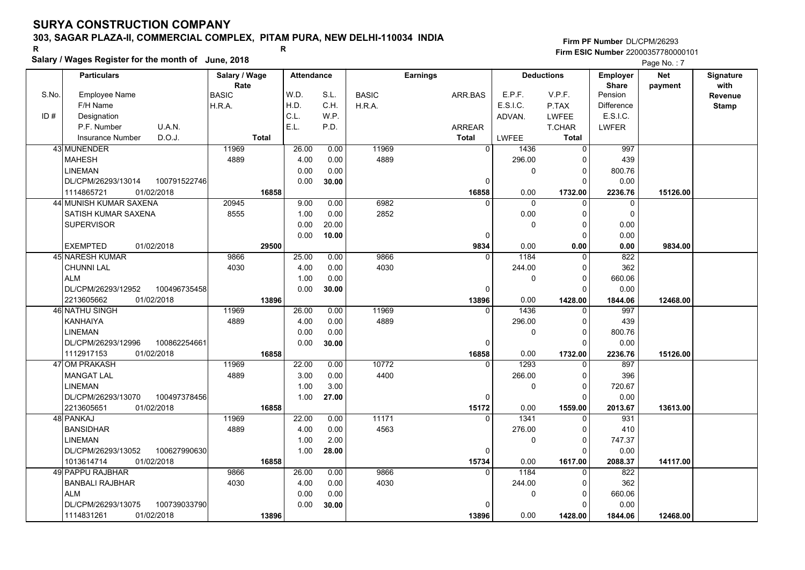### **303, SAGAR PLAZA-II, COMMERCIAL COMPLEX, PITAM PURA, NEW DELHI-110034 INDIA**

# **Salary / Wages Register for the month of June, 2018 <sup>R</sup> <sup>R</sup>**

#### **Firm PF Number**DL/CPM/26293**Firm ESIC Number** 22000357780000101

|       | <b>Particulars</b>                 | Salary / Wage | <b>Attendance</b> |       |              | <b>Earnings</b> |              | <b>Deductions</b> | Employer                | <b>Net</b> | Signature              |
|-------|------------------------------------|---------------|-------------------|-------|--------------|-----------------|--------------|-------------------|-------------------------|------------|------------------------|
| S.No. | <b>Employee Name</b>               | Rate<br>BASIC | W.D.              | S.L.  | <b>BASIC</b> | ARR.BAS         | E.P.F.       | V.P.F.            | <b>Share</b><br>Pension | payment    | with<br><b>Revenue</b> |
|       | F/H Name                           | H.R.A.        | H.D.              | C.H.  | H.R.A.       |                 | E.S.I.C.     | P.TAX             | Difference              |            | <b>Stamp</b>           |
| ID#   | Designation                        |               | C.L.              | W.P.  |              |                 | ADVAN.       | <b>LWFEE</b>      | E.S.I.C.                |            |                        |
|       | U.A.N.<br>P.F. Number              |               | E.L.              | P.D.  |              | <b>ARREAR</b>   |              | T.CHAR            | <b>LWFER</b>            |            |                        |
|       | D.O.J.<br>Insurance Number         | <b>Total</b>  |                   |       |              | <b>Total</b>    | <b>LWFEE</b> | <b>Total</b>      |                         |            |                        |
|       | 43 MUNENDER                        | 11969         | 26.00             | 0.00  | 11969        | $\overline{0}$  | 1436         | 0                 | 997                     |            |                        |
|       | <b>MAHESH</b>                      | 4889          | 4.00              | 0.00  | 4889         |                 | 296.00       | $\mathbf 0$       | 439                     |            |                        |
|       | LINEMAN                            |               | 0.00              | 0.00  |              |                 | $\mathbf 0$  | 0                 | 800.76                  |            |                        |
|       | DL/CPM/26293/13014<br>100791522746 |               | 0.00              | 30.00 |              | 0               |              | $\Omega$          | 0.00                    |            |                        |
|       | 1114865721<br>01/02/2018           | 16858         |                   |       |              | 16858           | 0.00         | 1732.00           | 2236.76                 | 15126.00   |                        |
|       | 44 MUNISH KUMAR SAXENA             | 20945         | 9.00              | 0.00  | 6982         | $\Omega$        | $\mathbf 0$  | $\mathbf 0$       | 0                       |            |                        |
|       | SATISH KUMAR SAXENA                | 8555          | 1.00              | 0.00  | 2852         |                 | 0.00         | $\mathbf 0$       | $\mathbf 0$             |            |                        |
|       | <b>SUPERVISOR</b>                  |               | 0.00              | 20.00 |              |                 | $\mathbf 0$  | 0                 | 0.00                    |            |                        |
|       |                                    |               | 0.00              | 10.00 |              | $\Omega$        |              | $\Omega$          | 0.00                    |            |                        |
|       | 01/02/2018<br><b>EXEMPTED</b>      | 29500         |                   |       |              | 9834            | 0.00         | 0.00              | 0.00                    | 9834.00    |                        |
|       | <b>45 NARESH KUMAR</b>             | 9866          | 25.00             | 0.00  | 9866         | $\Omega$        | 1184         | $\mathbf 0$       | 822                     |            |                        |
|       | <b>CHUNNI LAL</b>                  | 4030          | 4.00              | 0.00  | 4030         |                 | 244.00       | $\mathbf 0$       | 362                     |            |                        |
|       | <b>ALM</b>                         |               | 1.00              | 0.00  |              |                 | 0            | $\mathbf 0$       | 660.06                  |            |                        |
|       | DL/CPM/26293/12952<br>100496735458 |               | 0.00              | 30.00 |              | $\Omega$        |              | $\Omega$          | 0.00                    |            |                        |
|       | 2213605662<br>01/02/2018           | 13896         |                   |       |              | 13896           | 0.00         | 1428.00           | 1844.06                 | 12468.00   |                        |
|       | 46 NATHU SINGH                     | 11969         | 26.00             | 0.00  | 11969        | $\Omega$        | 1436         | 0                 | 997                     |            |                        |
|       | <b>KANHAIYA</b>                    | 4889          | 4.00              | 0.00  | 4889         |                 | 296.00       | $\mathbf 0$       | 439                     |            |                        |
|       | <b>LINEMAN</b>                     |               | 0.00              | 0.00  |              |                 | 0            | $\mathbf 0$       | 800.76                  |            |                        |
|       | DL/CPM/26293/12996<br>100862254661 |               | 0.00              | 30.00 |              | $\Omega$        |              | $\Omega$          | 0.00                    |            |                        |
|       | 1112917153<br>01/02/2018           | 16858         |                   |       |              | 16858           | 0.00         | 1732.00           | 2236.76                 | 15126.00   |                        |
|       | 47 OM PRAKASH                      | 11969         | 22.00             | 0.00  | 10772        | $\overline{0}$  | 1293         | $\Omega$          | 897                     |            |                        |
|       | <b>MANGAT LAL</b>                  | 4889          | 3.00              | 0.00  | 4400         |                 | 266.00       | $\mathbf 0$       | 396                     |            |                        |
|       | LINEMAN                            |               | 1.00              | 3.00  |              |                 | 0            | 0                 | 720.67                  |            |                        |
|       | DL/CPM/26293/13070<br>100497378456 |               | 1.00              | 27.00 |              | 0               |              | $\mathbf 0$       | 0.00                    |            |                        |
|       | 2213605651<br>01/02/2018           | 16858         |                   |       |              | 15172           | 0.00         | 1559.00           | 2013.67                 | 13613.00   |                        |
|       | 48 PANKAJ                          | 11969         | 22.00             | 0.00  | 11171        | $\mathbf{0}$    | 1341         | $\mathbf{0}$      | 931                     |            |                        |
|       | <b>BANSIDHAR</b>                   | 4889          | 4.00              | 0.00  | 4563         |                 | 276.00       | $\mathbf 0$       | 410                     |            |                        |
|       | <b>LINEMAN</b>                     |               | 1.00              | 2.00  |              |                 | 0            | 0                 | 747.37                  |            |                        |
|       | 100627990630<br>DL/CPM/26293/13052 |               | 1.00              | 28.00 |              | 0               |              | $\Omega$          | 0.00                    |            |                        |
|       | 1013614714<br>01/02/2018           | 16858         |                   |       |              | 15734           | 0.00         | 1617.00           | 2088.37                 | 14117.00   |                        |
|       | 49 PAPPU RAJBHAR                   | 9866          | 26.00             | 0.00  | 9866         | $\Omega$        | 1184         | $\overline{0}$    | 822                     |            |                        |
|       | <b>BANBALI RAJBHAR</b>             | 4030          | 4.00              | 0.00  | 4030         |                 | 244.00       | $\mathbf 0$       | 362                     |            |                        |
|       | <b>ALM</b>                         |               | 0.00              | 0.00  |              |                 | 0            | $\mathbf 0$       | 660.06                  |            |                        |
|       | DL/CPM/26293/13075<br>100739033790 |               | 0.00              | 30.00 |              | 0               |              | $\Omega$          | 0.00                    |            |                        |
|       | 1114831261<br>01/02/2018           | 13896         |                   |       |              | 13896           | 0.00         | 1428.00           | 1844.06                 | 12468.00   |                        |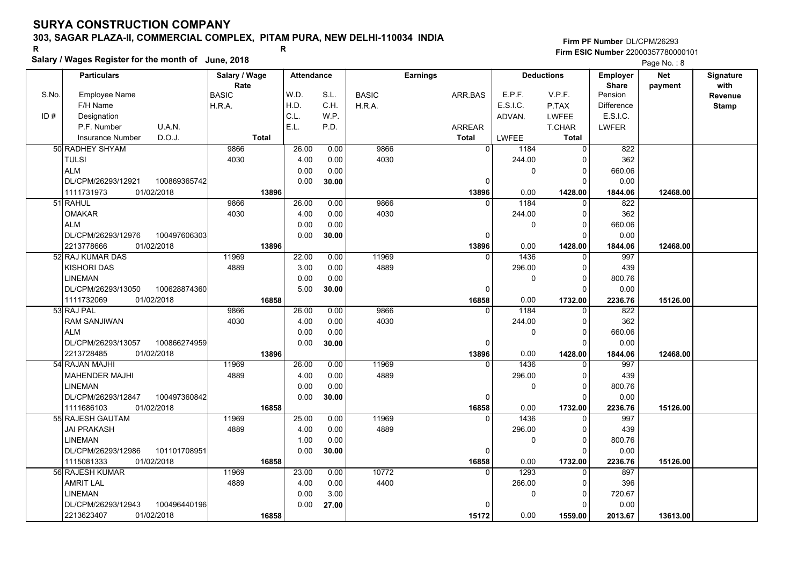### **303, SAGAR PLAZA-II, COMMERCIAL COMPLEX, PITAM PURA, NEW DELHI-110034 INDIA**

**Salary / Wages Register for the month of June, 2018 <sup>R</sup> <sup>R</sup>**

|       | Salary / wages Register for the month of June, 2018 |               |                   |       |              |                 | Page No.: 8    |          |                   |                   |            |              |
|-------|-----------------------------------------------------|---------------|-------------------|-------|--------------|-----------------|----------------|----------|-------------------|-------------------|------------|--------------|
|       | <b>Particulars</b>                                  | Salary / Wage | <b>Attendance</b> |       |              | <b>Earnings</b> |                |          | <b>Deductions</b> | <b>Employer</b>   | <b>Net</b> | Signature    |
|       |                                                     | Rate          |                   |       |              |                 |                |          |                   | <b>Share</b>      | payment    | with         |
| S.No. | <b>Employee Name</b>                                | <b>BASIC</b>  | W.D.              | S.L.  | <b>BASIC</b> | ARR.BAS         |                | E.P.F.   | V.P.F.            | Pension           |            | Revenue      |
|       | F/H Name                                            | H.R.A.        | H.D.              | C.H.  | H.R.A.       |                 |                | E.S.I.C. | P.TAX             | <b>Difference</b> |            | <b>Stamp</b> |
| ID#   | Designation                                         |               | C.L.              | W.P.  |              |                 |                | ADVAN.   | <b>LWFEE</b>      | E.S.I.C.          |            |              |
|       | U.A.N.<br>P.F. Number                               |               | E.L.              | P.D.  |              | <b>ARREAR</b>   |                |          | <b>T.CHAR</b>     | <b>LWFER</b>      |            |              |
|       | D.O.J.<br><b>Insurance Number</b>                   | <b>Total</b>  |                   |       |              | <b>Total</b>    |                | LWFEE    | <b>Total</b>      |                   |            |              |
|       | 50 RADHEY SHYAM                                     | 9866          | 26.00             | 0.00  | 9866         |                 | $\overline{0}$ | 1184     | $\Omega$          | 822               |            |              |
|       | <b>TULSI</b>                                        | 4030          | 4.00              | 0.00  | 4030         |                 |                | 244.00   | $\Omega$          | 362               |            |              |
|       | <b>ALM</b>                                          |               | 0.00              | 0.00  |              |                 |                | 0        | 0                 | 660.06            |            |              |
|       | DL/CPM/26293/12921<br>100869365742                  |               | 0.00              | 30.00 |              |                 | 0              |          | $\Omega$          | 0.00              |            |              |
|       | 1111731973<br>01/02/2018                            | 13896         |                   |       |              |                 | 13896          | 0.00     | 1428.00           | 1844.06           | 12468.00   |              |
|       | 51 RAHUL                                            | 9866          | 26.00             | 0.00  | 9866         |                 | $\Omega$       | 1184     | $\Omega$          | 822               |            |              |
|       | <b>OMAKAR</b>                                       | 4030          | 4.00              | 0.00  | 4030         |                 |                | 244.00   | 0                 | 362               |            |              |
|       | <b>ALM</b>                                          |               | 0.00              | 0.00  |              |                 |                | 0        | 0                 | 660.06            |            |              |
|       | DL/CPM/26293/12976<br>100497606303                  |               | 0.00              | 30.00 |              |                 | $\Omega$       |          | 0                 | 0.00              |            |              |
|       | 2213778666<br>01/02/2018                            | 13896         |                   |       |              |                 | 13896          | 0.00     | 1428.00           | 1844.06           | 12468.00   |              |
|       | 52 RAJ KUMAR DAS                                    | 11969         | 22.00             | 0.00  | 11969        |                 | $\Omega$       | 1436     | 0                 | 997               |            |              |
|       | <b>KISHORI DAS</b>                                  | 4889          | 3.00              | 0.00  | 4889         |                 |                | 296.00   | 0                 | 439               |            |              |
|       | <b>LINEMAN</b>                                      |               | 0.00              | 0.00  |              |                 |                | 0        | $\Omega$          | 800.76            |            |              |
|       | DL/CPM/26293/13050<br>100628874360                  |               | 5.00              | 30.00 |              |                 | $\mathbf{0}$   |          | $\Omega$          | 0.00              |            |              |
|       | 1111732069<br>01/02/2018                            | 16858         |                   |       |              |                 | 16858          | 0.00     | 1732.00           | 2236.76           | 15126.00   |              |
|       | 53 RAJ PAL                                          | 9866          | 26.00             | 0.00  | 9866         |                 | $\Omega$       | 1184     | O                 | $\overline{822}$  |            |              |
|       | <b>RAM SANJIWAN</b>                                 | 4030          | 4.00              | 0.00  | 4030         |                 |                | 244.00   | $\Omega$          | 362               |            |              |
|       | <b>ALM</b>                                          |               | 0.00              | 0.00  |              |                 |                | 0        | 0                 | 660.06            |            |              |
|       | DL/CPM/26293/13057<br>100866274959                  |               | 0.00              | 30.00 |              |                 | $\mathbf{0}$   |          | $\Omega$          | 0.00              |            |              |
|       | 2213728485<br>01/02/2018                            | 13896         |                   |       |              |                 | 13896          | 0.00     | 1428.00           | 1844.06           | 12468.00   |              |
|       | 54 RAJAN MAJHI                                      | 11969         | 26.00             | 0.00  | 11969        |                 | 0              | 1436     | 0                 | 997               |            |              |
|       | <b>MAHENDER MAJHI</b>                               | 4889          | 4.00              | 0.00  | 4889         |                 |                | 296.00   | 0                 | 439               |            |              |
|       | <b>LINEMAN</b>                                      |               | 0.00              | 0.00  |              |                 |                | 0        | $\Omega$          | 800.76            |            |              |
|       | 100497360842<br>DL/CPM/26293/12847                  |               | 0.00              | 30.00 |              |                 | 0              |          | $\Omega$          | 0.00              |            |              |
|       | 1111686103<br>01/02/2018                            | 16858         |                   |       |              |                 | 16858          | 0.00     | 1732.00           | 2236.76           | 15126.00   |              |
|       | 55 RAJESH GAUTAM                                    | 11969         | 25.00             | 0.00  | 11969        |                 | $\Omega$       | 1436     | 0                 | 997               |            |              |
|       | <b>JAI PRAKASH</b>                                  | 4889          | 4.00              | 0.00  | 4889         |                 |                | 296.00   | $\Omega$          | 439               |            |              |
|       | <b>LINEMAN</b>                                      |               | 1.00              | 0.00  |              |                 |                | 0        | $\Omega$          | 800.76            |            |              |
|       | DL/CPM/26293/12986<br>101101708951                  |               | 0.00              | 30.00 |              |                 | $\Omega$       |          | $\Omega$          | 0.00              |            |              |
|       | 1115081333<br>01/02/2018                            | 16858         |                   |       |              |                 | 16858          | 0.00     | 1732.00           | 2236.76           | 15126.00   |              |
|       | 56 RAJESH KUMAR                                     | 11969         | 23.00             | 0.00  | 10772        |                 | $\Omega$       | 1293     | U                 | 897               |            |              |
|       | <b>AMRIT LAL</b>                                    | 4889          | 4.00              | 0.00  | 4400         |                 |                | 266.00   | $\Omega$          | 396               |            |              |
|       | LINEMAN                                             |               | 0.00              | 3.00  |              |                 |                | 0        | $\Omega$          | 720.67            |            |              |
|       | DL/CPM/26293/12943<br>100496440196                  |               | 0.00              | 27.00 |              |                 | $\Omega$       |          | ŋ                 | 0.00              |            |              |
|       | 2213623407<br>01/02/2018                            | 16858         |                   |       |              |                 | 15172          | 0.00     | 1559.00           | 2013.67           | 13613.00   |              |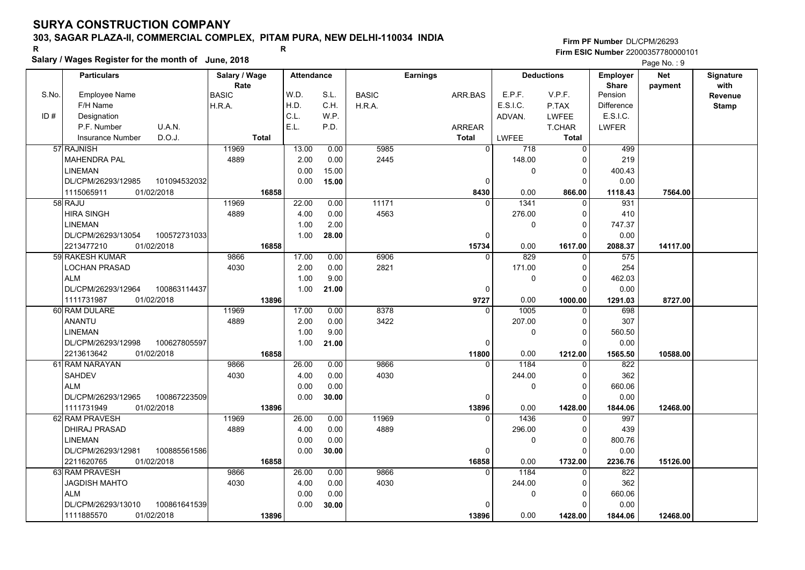### **303, SAGAR PLAZA-II, COMMERCIAL COMPLEX, PITAM PURA, NEW DELHI-110034 INDIA**

**Salary / Wages Register for the month of June, 2018 <sup>R</sup> <sup>R</sup>**

#### **Firm PF Number**DL/CPM/26293**Firm ESIC Number** 22000357780000101

|       | <b>Particulars</b>                 | Salary / Wage        | <b>Attendance</b> |       |              | <b>Earnings</b> |                     | <b>Deductions</b> | Employer                | <b>Net</b> | Signature              |
|-------|------------------------------------|----------------------|-------------------|-------|--------------|-----------------|---------------------|-------------------|-------------------------|------------|------------------------|
| S.No. | Employee Name                      | Rate<br><b>BASIC</b> | W.D.              | S.L.  | <b>BASIC</b> | ARR.BAS         | E.P.F.              | V.P.F.            | <b>Share</b><br>Pension | payment    | with<br><b>Revenue</b> |
|       | F/H Name                           | H.R.A.               | H.D.              | C.H.  | H.R.A.       |                 | E.S.I.C.            | P.TAX             | <b>Difference</b>       |            | <b>Stamp</b>           |
| ID#   | Designation                        |                      | C.L.              | W.P.  |              |                 | ADVAN.              | <b>LWFEE</b>      | E.S.I.C.                |            |                        |
|       | U.A.N.<br>P.F. Number              |                      | E.L.              | P.D.  |              | <b>ARREAR</b>   |                     | T.CHAR            | <b>LWFER</b>            |            |                        |
|       | D.O.J.<br><b>Insurance Number</b>  | <b>Total</b>         |                   |       |              | <b>Total</b>    | <b>LWFEE</b>        | <b>Total</b>      |                         |            |                        |
|       | 57 RAJNISH                         | 11969                | 13.00             | 0.00  | 5985         | $\Omega$        | 718                 | 0                 | 499                     |            |                        |
|       | <b>MAHENDRA PAL</b>                | 4889                 | 2.00              | 0.00  | 2445         |                 | 148.00              | O                 | 219                     |            |                        |
|       | <b>LINEMAN</b>                     |                      | 0.00              | 15.00 |              |                 | 0                   | 0                 | 400.43                  |            |                        |
|       | DL/CPM/26293/12985<br>101094532032 |                      | 0.00              | 15.00 |              | 0               |                     | $\Omega$          | 0.00                    |            |                        |
|       | 01/02/2018<br>1115065911           | 16858                |                   |       |              | 8430            | 0.00                | 866.00            | 1118.43                 | 7564.00    |                        |
|       | 58 RAJU                            | 11969                | 22.00             | 0.00  | 11171        | $\Omega$        | 1341                | $\Omega$          | 931                     |            |                        |
|       | <b>HIRA SINGH</b>                  | 4889                 | 4.00              | 0.00  | 4563         |                 | 276.00              | 0                 | 410                     |            |                        |
|       | <b>LINEMAN</b>                     |                      | 1.00              | 2.00  |              |                 | 0                   | $\Omega$          | 747.37                  |            |                        |
|       | DL/CPM/26293/13054<br>100572731033 |                      | 1.00              | 28.00 |              | 0               |                     | $\Omega$          | 0.00                    |            |                        |
|       | 2213477210<br>01/02/2018           | 16858                |                   |       |              | 15734           | 0.00                | 1617.00           | 2088.37                 | 14117.00   |                        |
|       | 59 RAKESH KUMAR                    | 9866                 | 17.00             | 0.00  | 6906         | $\Omega$        | 829                 | 0                 | $\overline{575}$        |            |                        |
|       | <b>LOCHAN PRASAD</b>               | 4030                 | 2.00              | 0.00  | 2821         |                 | 171.00              | $\Omega$          | 254                     |            |                        |
|       | <b>ALM</b>                         |                      | 1.00              | 9.00  |              |                 | 0                   | $\Omega$          | 462.03                  |            |                        |
|       | DL/CPM/26293/12964<br>100863114437 |                      | 1.00              | 21.00 |              | $\Omega$        |                     | $\Omega$          | 0.00                    |            |                        |
|       | 1111731987<br>01/02/2018           | 13896                |                   |       |              | 9727            | 0.00                | 1000.00           | 1291.03                 | 8727.00    |                        |
|       | 60 RAM DULARE                      | 11969                | 17.00             | 0.00  | 8378         |                 | $\frac{1005}{1000}$ | $\Omega$          | 698                     |            |                        |
|       | ANANTU                             | 4889                 | 2.00              | 0.00  | 3422         |                 | 207.00              | $\Omega$          | 307                     |            |                        |
|       | <b>LINEMAN</b>                     |                      | 1.00              | 9.00  |              |                 | 0                   | $\Omega$          | 560.50                  |            |                        |
|       | DL/CPM/26293/12998<br>100627805597 |                      | 1.00              | 21.00 |              | $\mathbf 0$     |                     | $\Omega$          | 0.00                    |            |                        |
|       | 2213613642<br>01/02/2018           | 16858                |                   |       |              | 11800           | 0.00                | 1212.00           | 1565.50                 | 10588.00   |                        |
|       | 61 RAM NARAYAN                     | 9866                 | 26.00             | 0.00  | 9866         | $\Omega$        | 1184                |                   | 822                     |            |                        |
|       | <b>SAHDEV</b>                      | 4030                 | 4.00              | 0.00  | 4030         |                 | 244.00              | $\Omega$          | 362                     |            |                        |
|       | <b>ALM</b>                         |                      | 0.00              | 0.00  |              |                 | 0                   | 0                 | 660.06                  |            |                        |
|       | DL/CPM/26293/12965<br>100867223509 |                      | 0.00              | 30.00 |              | 0               |                     | $\Omega$          | 0.00                    |            |                        |
|       | 1111731949<br>01/02/2018           | 13896                |                   |       |              | 13896           | 0.00                | 1428.00           | 1844.06                 | 12468.00   |                        |
|       | 62 RAM PRAVESH                     | 11969                | 26.00             | 0.00  | 11969        | $\Omega$        | 1436                | $\Omega$          | 997                     |            |                        |
|       | <b>DHIRAJ PRASAD</b>               | 4889                 | 4.00              | 0.00  | 4889         |                 | 296.00              | $\Omega$          | 439                     |            |                        |
|       | <b>LINEMAN</b>                     |                      | 0.00              | 0.00  |              |                 | 0                   | 0                 | 800.76                  |            |                        |
|       | 100885561586<br>DL/CPM/26293/12981 |                      | 0.00              | 30.00 |              | 0               |                     | $\Omega$          | 0.00                    |            |                        |
|       | 2211620765<br>01/02/2018           | 16858                |                   |       |              | 16858           | 0.00                | 1732.00           | 2236.76                 | 15126.00   |                        |
|       | 63 RAM PRAVESH                     | 9866                 | 26.00             | 0.00  | 9866         | $\Omega$        | 1184                | $\Omega$          | 822                     |            |                        |
|       | <b>JAGDISH MAHTO</b>               | 4030                 | 4.00              | 0.00  | 4030         |                 | 244.00              | $\Omega$          | 362                     |            |                        |
|       | <b>ALM</b>                         |                      | 0.00              | 0.00  |              |                 | 0                   | $\Omega$          | 660.06                  |            |                        |
|       | DL/CPM/26293/13010<br>100861641539 |                      | 0.00              | 30.00 |              | $\Omega$        |                     | $\Omega$          | 0.00                    |            |                        |
|       | 01/02/2018<br>1111885570           | 13896                |                   |       |              | 13896           | 0.00                | 1428.00           | 1844.06                 | 12468.00   |                        |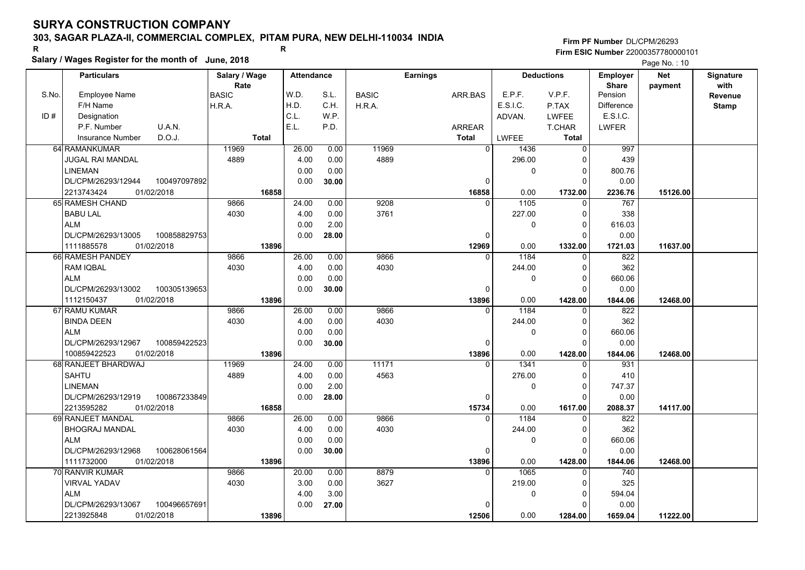### **303, SAGAR PLAZA-II, COMMERCIAL COMPLEX, PITAM PURA, NEW DELHI-110034 INDIA**

**Salary / Wages Register for the month of June, 2018 <sup>R</sup> <sup>R</sup> Firm PF Number**DL/CPM/26293**Firm ESIC Number** 22000357780000101

|       | Salary / Wages Register for the month of June, 2018 |               |                   |       |              |                 |                |              |                   | Page No.: 10      |            |              |
|-------|-----------------------------------------------------|---------------|-------------------|-------|--------------|-----------------|----------------|--------------|-------------------|-------------------|------------|--------------|
|       | <b>Particulars</b>                                  | Salary / Wage | <b>Attendance</b> |       |              | <b>Earnings</b> |                |              | <b>Deductions</b> | <b>Employer</b>   | <b>Net</b> | Signature    |
|       |                                                     | Rate          |                   |       |              |                 |                |              |                   | <b>Share</b>      | payment    | with         |
| S.No. | <b>Employee Name</b>                                | <b>BASIC</b>  | W.D.              | S.L.  | <b>BASIC</b> | ARR.BAS         |                | E.P.F.       | V.P.F.            | Pension           |            | Revenue      |
|       | F/H Name                                            | H.R.A.        | H.D.              | C.H.  | H.R.A.       |                 |                | E.S.I.C.     | P.TAX             | <b>Difference</b> |            | <b>Stamp</b> |
| ID#   | Designation                                         |               | C.L.              | W.P.  |              |                 |                | ADVAN.       | <b>LWFEE</b>      | E.S.I.C.          |            |              |
|       | P.F. Number<br>U.A.N.                               |               | E.L.              | P.D.  |              | ARREAR          |                |              | T.CHAR            | <b>LWFER</b>      |            |              |
|       | D.O.J.<br><b>Insurance Number</b>                   | Total         |                   |       |              | <b>Total</b>    |                | <b>LWFEE</b> | Total             |                   |            |              |
|       | 64 RAMANKUMAR                                       | 11969         | 26.00             | 0.00  | 11969        |                 | $\overline{0}$ | 1436         | $\Omega$          | 997               |            |              |
|       | JUGAL RAI MANDAL                                    | 4889          | 4.00              | 0.00  | 4889         |                 |                | 296.00       |                   | 439               |            |              |
|       | <b>LINEMAN</b>                                      |               | 0.00              | 0.00  |              |                 |                | 0            | $\Omega$          | 800.76            |            |              |
|       | DL/CPM/26293/12944<br>100497097892                  |               | 0.00              | 30.00 |              |                 | $\mathbf{0}$   |              | $\Omega$          | 0.00              |            |              |
|       | 2213743424<br>01/02/2018                            | 16858         |                   |       |              |                 | 16858          | 0.00         | 1732.00           | 2236.76           | 15126.00   |              |
|       | 65 RAMESH CHAND                                     | 9866          | 24.00             | 0.00  | 9208         |                 | $\Omega$       | 1105         | $\Omega$          | 767               |            |              |
|       | <b>BABU LAL</b>                                     | 4030          | 4.00              | 0.00  | 3761         |                 |                | 227.00       | 0                 | 338               |            |              |
|       | <b>ALM</b>                                          |               | 0.00              | 2.00  |              |                 |                | 0            | $\Omega$          | 616.03            |            |              |
|       | DL/CPM/26293/13005<br>100858829753                  |               | 0.00              | 28.00 |              |                 | 0              |              |                   | 0.00              |            |              |
|       | 1111885578<br>01/02/2018                            | 13896         |                   |       |              |                 | 12969          | 0.00         | 1332.00           | 1721.03           | 11637.00   |              |
|       | 66 RAMESH PANDEY                                    | 9866          | 26.00             | 0.00  | 9866         |                 | $\Omega$       | 1184         | $\Omega$          | 822               |            |              |
|       | <b>RAM IQBAL</b>                                    | 4030          | 4.00              | 0.00  | 4030         |                 |                | 244.00       | $\Omega$          | 362               |            |              |
|       | <b>ALM</b>                                          |               | 0.00              | 0.00  |              |                 |                | 0            | 0                 | 660.06            |            |              |
|       | DL/CPM/26293/13002<br>100305139653                  |               | 0.00              | 30.00 |              |                 | $\Omega$       |              | n                 | 0.00              |            |              |
|       | 1112150437<br>01/02/2018                            | 13896         |                   |       |              |                 | 13896          | 0.00         | 1428.00           | 1844.06           | 12468.00   |              |
|       | 67 RAMU KUMAR                                       | 9866          | 26.00             | 0.00  | 9866         |                 | $\Omega$       | 1184         | $\Omega$          | 822               |            |              |
|       | <b>BINDA DEEN</b>                                   | 4030          | 4.00              | 0.00  | 4030         |                 |                | 244.00       | $\Omega$          | 362               |            |              |
|       | <b>ALM</b>                                          |               | 0.00              | 0.00  |              |                 |                | 0            | $\Omega$          | 660.06            |            |              |
|       | DL/CPM/26293/12967<br>100859422523                  |               | 0.00              | 30.00 |              |                 | 0              |              | $\Omega$          | 0.00              |            |              |
|       | 01/02/2018<br>100859422523                          | 13896         |                   |       |              |                 | 13896          | 0.00         | 1428.00           | 1844.06           | 12468.00   |              |
|       | 68 RANJEET BHARDWAJ                                 | 11969         | 24.00             | 0.00  | 11171        |                 | $\Omega$       | 1341         | $\Omega$          | 931               |            |              |
|       | <b>SAHTU</b>                                        | 4889          | 4.00              | 0.00  | 4563         |                 |                | 276.00       | n                 | 410               |            |              |
|       | <b>LINEMAN</b>                                      |               | 0.00              | 2.00  |              |                 |                | 0            | $\Omega$          | 747.37            |            |              |
|       | DL/CPM/26293/12919<br>100867233849                  |               | 0.00              | 28.00 |              |                 | $\Omega$       |              | ∩                 | 0.00              |            |              |
|       | 2213595282<br>01/02/2018                            | 16858         |                   |       |              |                 | 15734          | 0.00         | 1617.00           | 2088.37           | 14117.00   |              |
|       | 69 RANJEET MANDAL                                   | 9866          | 26.00             | 0.00  | 9866         |                 | $\Omega$       | 1184         | 0                 | 822               |            |              |
|       | <b>BHOGRAJ MANDAL</b>                               | 4030          | 4.00              | 0.00  | 4030         |                 |                | 244.00       | $\Omega$          | 362               |            |              |
|       | <b>ALM</b>                                          |               | 0.00              | 0.00  |              |                 |                | 0            | $\Omega$          | 660.06            |            |              |
|       | DL/CPM/26293/12968<br>100628061564                  |               | 0.00              | 30.00 |              |                 | $\Omega$       |              | ∩                 | 0.00              |            |              |
|       | 1111732000<br>01/02/2018                            | 13896         |                   |       |              |                 | 13896          | 0.00         | 1428.00           | 1844.06           | 12468.00   |              |
|       | 70 RANVIR KUMAR                                     | 9866          | 20.00             | 0.00  | 8879         |                 | $\Omega$       | 1065         |                   | 740               |            |              |
|       | <b>VIRVAL YADAV</b>                                 | 4030          | 3.00              | 0.00  | 3627         |                 |                | 219.00       | $\Omega$          | 325               |            |              |
|       | <b>ALM</b>                                          |               | 4.00              | 3.00  |              |                 |                | 0            | $\Omega$          | 594.04            |            |              |
|       | 100496657691<br>DL/CPM/26293/13067                  |               | 0.00              | 27.00 |              |                 | $\Omega$       |              |                   | 0.00              |            |              |
|       | 01/02/2018<br>2213925848                            | 13896         |                   |       |              |                 | 12506          | 0.00         | 1284.00           | 1659.04           | 11222.00   |              |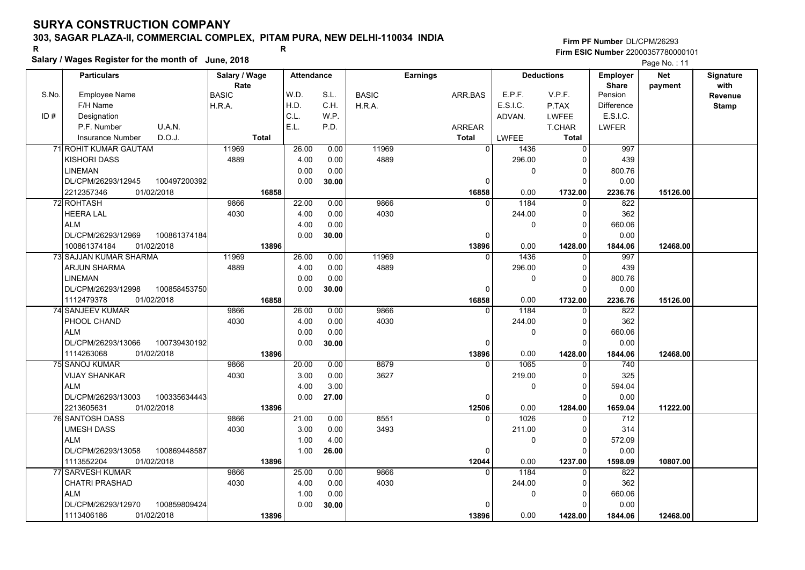### **303, SAGAR PLAZA-II, COMMERCIAL COMPLEX, PITAM PURA, NEW DELHI-110034 INDIA**

**Salary / Wages Register for the month of June, 2018 <sup>R</sup> <sup>R</sup>**

### **Firm PF Number**DL/CPM/26293**Firm ESIC Number** 22000357780000101

|       | <b>Particulars</b>                 | Salary / Wage        | <b>Attendance</b> |       |              | <b>Earnings</b> |          | <b>Deductions</b> | <b>Employer</b>         | <b>Net</b> | Signature       |
|-------|------------------------------------|----------------------|-------------------|-------|--------------|-----------------|----------|-------------------|-------------------------|------------|-----------------|
| S.No. | Employee Name                      | Rate<br><b>BASIC</b> | W.D.              | S.L.  | <b>BASIC</b> | ARR.BAS         | E.P.F.   | V.P.F.            | <b>Share</b><br>Pension | payment    | with<br>Revenue |
|       | F/H Name                           | H.R.A.               | H.D.              | C.H.  | H.R.A.       |                 | E.S.I.C. | P.TAX             | <b>Difference</b>       |            | <b>Stamp</b>    |
| ID#   | Designation                        |                      | C.L.              | WP.   |              |                 | ADVAN.   | LWFEE             | E.S.I.C.                |            |                 |
|       | U.A.N.<br>P.F. Number              |                      | E.L.              | P.D.  |              | <b>ARREAR</b>   |          | T.CHAR            | <b>LWFER</b>            |            |                 |
|       | D.O.J.<br><b>Insurance Number</b>  | <b>Total</b>         |                   |       |              | <b>Total</b>    | LWFEE    | <b>Total</b>      |                         |            |                 |
|       | 71 ROHIT KUMAR GAUTAM              | 11969                | 26.00             | 0.00  | 11969        | $\overline{0}$  | 1436     | $\Omega$          | 997                     |            |                 |
|       | <b>KISHORI DASS</b>                | 4889                 | 4.00              | 0.00  | 4889         |                 | 296.00   | $\Omega$          | 439                     |            |                 |
|       | <b>LINEMAN</b>                     |                      | 0.00              | 0.00  |              |                 | 0        | $\mathbf 0$       | 800.76                  |            |                 |
|       | DL/CPM/26293/12945<br>100497200392 |                      | 0.00              | 30.00 |              | 0               |          | $\Omega$          | 0.00                    |            |                 |
|       | 2212357346<br>01/02/2018           | 16858                |                   |       |              | 16858           | 0.00     | 1732.00           | 2236.76                 | 15126.00   |                 |
|       | 72 ROHTASH                         | 9866                 | 22.00             | 0.00  | 9866         | $\Omega$        | 1184     | $\Omega$          | 822                     |            |                 |
|       | <b>HEERA LAL</b>                   | 4030                 | 4.00              | 0.00  | 4030         |                 | 244.00   | 0                 | 362                     |            |                 |
|       | <b>ALM</b>                         |                      | 4.00              | 0.00  |              |                 | 0        | $\Omega$          | 660.06                  |            |                 |
|       | 100861374184<br>DL/CPM/26293/12969 |                      | 0.00              | 30.00 |              | 0               |          | $\Omega$          | 0.00                    |            |                 |
|       | 100861374184<br>01/02/2018         | 13896                |                   |       |              | 13896           | 0.00     | 1428.00           | 1844.06                 | 12468.00   |                 |
|       | <b>73 SAJJAN KUMAR SHARMA</b>      | 11969                | 26.00             | 0.00  | 11969        | $\Omega$        | 1436     | $\Omega$          | 997                     |            |                 |
|       | <b>ARJUN SHARMA</b>                | 4889                 | 4.00              | 0.00  | 4889         |                 | 296.00   | $\mathbf 0$       | 439                     |            |                 |
|       | <b>LINEMAN</b>                     |                      | 0.00              | 0.00  |              |                 | 0        | $\Omega$          | 800.76                  |            |                 |
|       | DL/CPM/26293/12998<br>100858453750 |                      | 0.00              | 30.00 |              | $\mathbf 0$     |          | $\Omega$          | 0.00                    |            |                 |
|       | 1112479378<br>01/02/2018           | 16858                |                   |       |              | 16858           | 0.00     | 1732.00           | 2236.76                 | 15126.00   |                 |
|       | 74 SANJEEV KUMAR                   | 9866                 | 26.00             | 0.00  | 9866         | 0               | 1184     | 0                 | 822                     |            |                 |
|       | PHOOL CHAND                        | 4030                 | 4.00              | 0.00  | 4030         |                 | 244.00   | $\Omega$          | 362                     |            |                 |
|       | <b>ALM</b>                         |                      | 0.00              | 0.00  |              |                 | 0        | $\Omega$          | 660.06                  |            |                 |
|       | DL/CPM/26293/13066<br>100739430192 |                      | 0.00              | 30.00 |              | 0               |          | $\Omega$          | 0.00                    |            |                 |
|       | 1114263068<br>01/02/2018           | 13896                |                   |       |              | 13896           | 0.00     | 1428.00           | 1844.06                 | 12468.00   |                 |
|       | 75 SANOJ KUMAR                     | 9866                 | 20.00             | 0.00  | 8879         | $\Omega$        | 1065     | $\Omega$          | 740                     |            |                 |
|       | VIJAY SHANKAR                      | 4030                 | 3.00              | 0.00  | 3627         |                 | 219.00   | $\mathbf 0$       | 325                     |            |                 |
|       | <b>ALM</b>                         |                      | 4.00              | 3.00  |              |                 | 0        | $\mathbf 0$       | 594.04                  |            |                 |
|       | 100335634443<br>DL/CPM/26293/13003 |                      | 0.00              | 27.00 |              | 0               |          | $\Omega$          | 0.00                    |            |                 |
|       | 01/02/2018<br>2213605631           | 13896                |                   |       |              | 12506           | 0.00     | 1284.00           | 1659.04                 | 11222.00   |                 |
|       | 76 SANTOSH DASS                    | 9866                 | 21.00             | 0.00  | 8551         | $\Omega$        | 1026     | $\Omega$          | 712                     |            |                 |
|       | UMESH DASS                         | 4030                 | 3.00              | 0.00  | 3493         |                 | 211.00   | 0                 | 314                     |            |                 |
|       | <b>ALM</b>                         |                      | 1.00              | 4.00  |              |                 | 0        | 0                 | 572.09                  |            |                 |
|       | DL/CPM/26293/13058<br>100869448587 |                      | 1.00              | 26.00 |              | $\Omega$        |          | $\Omega$          | 0.00                    |            |                 |
|       | 1113552204<br>01/02/2018           | 13896                |                   |       |              | 12044           | 0.00     | 1237.00           | 1598.09                 | 10807.00   |                 |
|       | 77 SARVESH KUMAR                   | 9866                 | 25.00             | 0.00  | 9866         | $\Omega$        | 1184     | $\Omega$          | 822                     |            |                 |
|       | <b>CHATRI PRASHAD</b>              | 4030                 | 4.00              | 0.00  | 4030         |                 | 244.00   | 0                 | 362                     |            |                 |
|       | <b>ALM</b>                         |                      | 1.00              | 0.00  |              |                 | 0        | 0                 | 660.06                  |            |                 |
|       | DL/CPM/26293/12970<br>100859809424 |                      | 0.00              | 30.00 |              | 0               |          | $\Omega$          | 0.00                    |            |                 |
|       | 01/02/2018<br>1113406186           | 13896                |                   |       |              | 13896           | 0.00     | 1428.00           | 1844.06                 | 12468.00   |                 |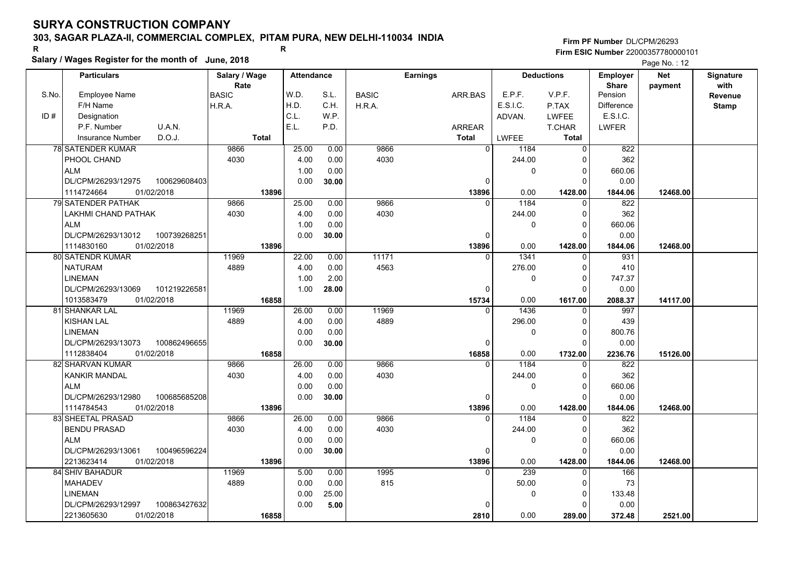### **303, SAGAR PLAZA-II, COMMERCIAL COMPLEX, PITAM PURA, NEW DELHI-110034 INDIA**

**Salary / Wages Register for the month of June, 2018 <sup>R</sup> <sup>R</sup>**

### **Firm PF Number**DL/CPM/26293**Firm ESIC Number** 22000357780000101

|       | <b>Particulars</b>                 | Salary / Wage        | <b>Attendance</b> |       |              | <b>Earnings</b> |          | <b>Deductions</b> | Employer                | <b>Net</b> | Signature               |
|-------|------------------------------------|----------------------|-------------------|-------|--------------|-----------------|----------|-------------------|-------------------------|------------|-------------------------|
| S.No. | Employee Name                      | Rate<br><b>BASIC</b> | W.D.              | S.L.  | <b>BASIC</b> | ARR.BAS         | E.P.F.   | V.P.F.            | <b>Share</b><br>Pension | payment    | with                    |
|       | F/H Name                           | H.R.A.               | H.D.              | C.H.  | H.R.A.       |                 | E.S.I.C. | P.TAX             | <b>Difference</b>       |            | Revenue<br><b>Stamp</b> |
| ID#   | Designation                        |                      | C.L.              | W.P.  |              |                 | ADVAN.   | <b>LWFEE</b>      | E.S.I.C.                |            |                         |
|       | U.A.N.<br>P.F. Number              |                      | E.L.              | P.D.  |              | <b>ARREAR</b>   |          | T.CHAR            | <b>LWFER</b>            |            |                         |
|       | D.O.J.<br><b>Insurance Number</b>  | <b>Total</b>         |                   |       |              | <b>Total</b>    | LWFEE    | <b>Total</b>      |                         |            |                         |
|       | <b>78 SATENDER KUMAR</b>           | 9866                 | 25.00             | 0.00  | 9866         | $\overline{0}$  | 1184     | $\Omega$          | 822                     |            |                         |
|       |                                    |                      |                   |       | 4030         |                 |          |                   | 362                     |            |                         |
|       | PHOOL CHAND                        | 4030                 | 4.00              | 0.00  |              |                 | 244.00   | 0                 |                         |            |                         |
|       | <b>ALM</b>                         |                      | 1.00              | 0.00  |              |                 | 0        | 0                 | 660.06                  |            |                         |
|       | DL/CPM/26293/12975<br>100629608403 |                      | 0.00              | 30.00 |              | 0               |          | $\Omega$          | 0.00                    |            |                         |
|       | 1114724664<br>01/02/2018           | 13896                |                   |       |              | 13896           | 0.00     | 1428.00           | 1844.06                 | 12468.00   |                         |
|       | <b>79 SATENDER PATHAK</b>          | 9866                 | 25.00             | 0.00  | 9866         | $\Omega$        | 1184     | $\Omega$          | 822                     |            |                         |
|       | LAKHMI CHAND PATHAK                | 4030                 | 4.00              | 0.00  | 4030         |                 | 244.00   | $\mathbf 0$       | 362                     |            |                         |
|       | <b>ALM</b>                         |                      | 1.00              | 0.00  |              |                 | 0        | $\mathbf 0$       | 660.06                  |            |                         |
|       | DL/CPM/26293/13012<br>100739268251 |                      | 0.00              | 30.00 |              | $\Omega$        |          | $\Omega$          | 0.00                    |            |                         |
|       | 1114830160<br>01/02/2018           | 13896                |                   |       |              | 13896           | 0.00     | 1428.00           | 1844.06                 | 12468.00   |                         |
|       | 80 SATENDR KUMAR                   | 11969                | 22.00             | 0.00  | 11171        | <sup>0</sup>    | 1341     | $\Omega$          | 931                     |            |                         |
|       | <b>NATURAM</b>                     | 4889                 | 4.00              | 0.00  | 4563         |                 | 276.00   | 0                 | 410                     |            |                         |
|       | <b>LINEMAN</b>                     |                      | 1.00              | 2.00  |              |                 | 0        | $\Omega$          | 747.37                  |            |                         |
|       | DL/CPM/26293/13069<br>101219226581 |                      | 1.00              | 28.00 |              | $\Omega$        |          | $\Omega$          | 0.00                    |            |                         |
|       | 1013583479<br>01/02/2018           | 16858                |                   |       |              | 15734           | 0.00     | 1617.00           | 2088.37                 | 14117.00   |                         |
|       | 81 SHANKAR LAL                     | 11969                | 26.00             | 0.00  | 11969        | $\Omega$        | 1436     | 0                 | 997                     |            |                         |
|       | <b>KISHAN LAL</b>                  | 4889                 | 4.00              | 0.00  | 4889         |                 | 296.00   | $\mathbf 0$       | 439                     |            |                         |
|       | <b>LINEMAN</b>                     |                      | 0.00              | 0.00  |              |                 | 0        | $\Omega$          | 800.76                  |            |                         |
|       | DL/CPM/26293/13073<br>100862496655 |                      | 0.00              | 30.00 |              | $\Omega$        |          | $\Omega$          | 0.00                    |            |                         |
|       | 1112838404<br>01/02/2018           | 16858                |                   |       |              | 16858           | 0.00     | 1732.00           | 2236.76                 | 15126.00   |                         |
|       | 82 SHARVAN KUMAR                   | 9866                 | 26.00             | 0.00  | 9866         | $\Omega$        | 1184     | $\Omega$          | 822                     |            |                         |
|       | <b>KANKIR MANDAL</b>               | 4030                 | 4.00              | 0.00  | 4030         |                 | 244.00   | $\mathbf 0$       | 362                     |            |                         |
|       | <b>ALM</b>                         |                      | 0.00              | 0.00  |              |                 | 0        | $\mathbf 0$       | 660.06                  |            |                         |
|       | DL/CPM/26293/12980<br>100685685208 |                      | 0.00              | 30.00 |              | 0               |          | $\Omega$          | 0.00                    |            |                         |
|       | 1114784543<br>01/02/2018           | 13896                |                   |       |              | 13896           | 0.00     | 1428.00           | 1844.06                 | 12468.00   |                         |
|       | <b>83 SHEETAL PRASAD</b>           | 9866                 | 26.00             | 0.00  | 9866         | $\Omega$        | 1184     | $\mathbf 0$       | 822                     |            |                         |
|       | <b>BENDU PRASAD</b>                | 4030                 | 4.00              | 0.00  | 4030         |                 | 244.00   | 0                 | 362                     |            |                         |
|       | <b>ALM</b>                         |                      | 0.00              | 0.00  |              |                 | 0        | $\Omega$          | 660.06                  |            |                         |
|       | DL/CPM/26293/13061<br>100496596224 |                      | 0.00              | 30.00 |              | $\Omega$        |          | $\Omega$          | 0.00                    |            |                         |
|       | 01/02/2018<br>2213623414           | 13896                |                   |       |              | 13896           | 0.00     | 1428.00           | 1844.06                 | 12468.00   |                         |
|       | 84 SHIV BAHADUR                    | 11969                | 5.00              | 0.00  | 1995         | $\Omega$        | 239      | 0                 | 166                     |            |                         |
|       | <b>MAHADEV</b>                     | 4889                 | 0.00              | 0.00  | 815          |                 | 50.00    | $\Omega$          | 73                      |            |                         |
|       | <b>LINEMAN</b>                     |                      | 0.00              | 25.00 |              |                 | 0        | $\mathbf 0$       | 133.48                  |            |                         |
|       | DL/CPM/26293/12997<br>100863427632 |                      | 0.00              | 5.00  |              |                 |          | $\Omega$          | 0.00                    |            |                         |
|       | 2213605630<br>01/02/2018           | 16858                |                   |       |              | 2810            | 0.00     | 289.00            | 372.48                  | 2521.00    |                         |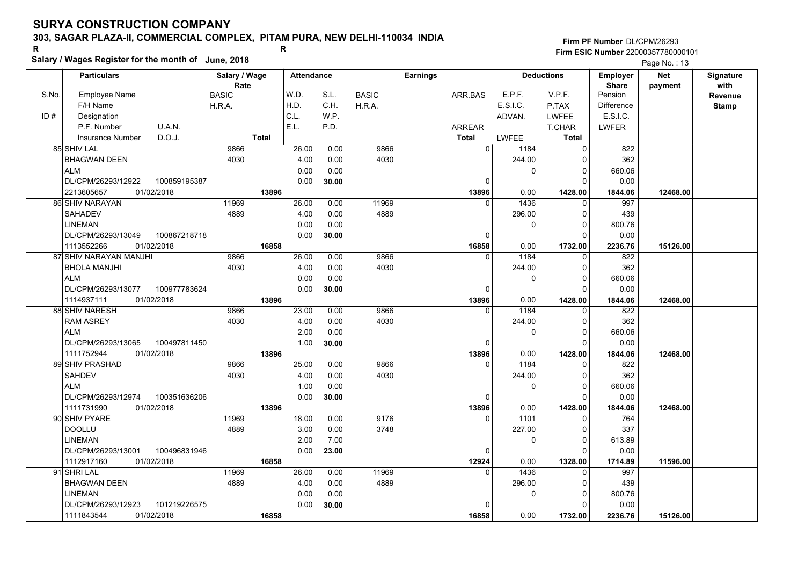### **303, SAGAR PLAZA-II, COMMERCIAL COMPLEX, PITAM PURA, NEW DELHI-110034 INDIA**

**Salary / Wages Register for the month of June, 2018 <sup>R</sup> <sup>R</sup>**

**Firm PF Number**DL/CPM/26293**Firm ESIC Number** 22000357780000101

|       | <b>Particulars</b>                 | Salary / Wage        |       | <b>Attendance</b> |              | <b>Earnings</b> | <b>Deductions</b>      |              | <b>Employer</b>         | <b>Net</b> | Signature       |
|-------|------------------------------------|----------------------|-------|-------------------|--------------|-----------------|------------------------|--------------|-------------------------|------------|-----------------|
| S.No. | Employee Name                      | Rate<br><b>BASIC</b> | W.D.  | S.L.              | <b>BASIC</b> | ARR.BAS         | E.P.F.                 | V.P.F.       | <b>Share</b><br>Pension | payment    | with<br>Revenue |
|       | F/H Name                           | H.R.A.               | H.D.  | C.H.              | H.R.A.       |                 | E.S.I.C.               | P.TAX        | <b>Difference</b>       |            | <b>Stamp</b>    |
| ID#   | Designation                        |                      | C.L.  | W.P.              |              |                 | ADVAN.                 | <b>LWFEE</b> | E.S.I.C.                |            |                 |
|       | U.A.N.<br>P.F. Number              |                      | E.L.  | P.D.              |              | <b>ARREAR</b>   |                        | T.CHAR       | <b>LWFER</b>            |            |                 |
|       | D.O.J.<br><b>Insurance Number</b>  | <b>Total</b>         |       |                   |              | Total           | LWFEE                  | Total        |                         |            |                 |
|       | 85 SHIV LAL                        | 9866                 | 26.00 | 0.00              | 9866         |                 | $\overline{0}$<br>1184 | $\Omega$     | 822                     |            |                 |
|       | <b>BHAGWAN DEEN</b>                | 4030                 | 4.00  | 0.00              | 4030         |                 | 244.00                 | $\mathbf 0$  | 362                     |            |                 |
|       | <b>ALM</b>                         |                      | 0.00  | 0.00              |              |                 | 0                      | $\mathbf 0$  | 660.06                  |            |                 |
|       | DL/CPM/26293/12922<br>100859195387 |                      | 0.00  | 30.00             |              |                 | 0                      | $\Omega$     | 0.00                    |            |                 |
|       | 01/02/2018<br>2213605657           | 13896                |       |                   |              | 13896           | 0.00                   | 1428.00      | 1844.06                 | 12468.00   |                 |
|       | 86 SHIV NARAYAN                    | 11969                | 26.00 | 0.00              | 11969        |                 | 1436<br>$\Omega$       | $\Omega$     | 997                     |            |                 |
|       | <b>SAHADEV</b>                     | 4889                 | 4.00  | 0.00              | 4889         |                 | 296.00                 | $\mathbf 0$  | 439                     |            |                 |
|       | <b>LINEMAN</b>                     |                      | 0.00  | 0.00              |              |                 | 0                      | $\mathbf 0$  | 800.76                  |            |                 |
|       | DL/CPM/26293/13049<br>100867218718 |                      | 0.00  | 30.00             |              |                 | O                      | $\Omega$     | 0.00                    |            |                 |
|       | 01/02/2018<br>1113552266           | 16858                |       |                   |              | 16858           | 0.00                   | 1732.00      | 2236.76                 | 15126.00   |                 |
|       | 87 SHIV NARAYAN MANJHI             | 9866                 | 26.00 | 0.00              | 9866         |                 | 1184<br>$\Omega$       | 0            | 822                     |            |                 |
|       | <b>BHOLA MANJHI</b>                | 4030                 | 4.00  | 0.00              | 4030         |                 | 244.00                 | $\mathbf 0$  | 362                     |            |                 |
|       | <b>ALM</b>                         |                      | 0.00  | 0.00              |              |                 | 0                      | 0            | 660.06                  |            |                 |
|       | DL/CPM/26293/13077<br>100977783624 |                      | 0.00  | 30.00             |              |                 | $\Omega$               | $\Omega$     | 0.00                    |            |                 |
|       | 1114937111<br>01/02/2018           | 13896                |       |                   |              | 13896           | 0.00                   | 1428.00      | 1844.06                 | 12468.00   |                 |
|       | 88 SHIV NARESH                     | 9866                 | 23.00 | 0.00              | 9866         |                 | 1184<br>$\Omega$       | $\mathbf 0$  | 822                     |            |                 |
|       | <b>RAM ASREY</b>                   | 4030                 | 4.00  | 0.00              | 4030         |                 | 244.00                 | $\mathbf 0$  | 362                     |            |                 |
|       | <b>ALM</b>                         |                      | 2.00  | 0.00              |              |                 | 0                      | $\mathbf 0$  | 660.06                  |            |                 |
|       | DL/CPM/26293/13065<br>100497811450 |                      | 1.00  | 30.00             |              |                 | $\Omega$               | $\Omega$     | 0.00                    |            |                 |
|       | 1111752944<br>01/02/2018           | 13896                |       |                   |              | 13896           | 0.00                   | 1428.00      | 1844.06                 | 12468.00   |                 |
|       | 89 SHIV PRASHAD                    | 9866                 | 25.00 | 0.00              | 9866         |                 | 1184<br>$\Omega$       | $\Omega$     | 822                     |            |                 |
|       | <b>SAHDEV</b>                      | 4030                 | 4.00  | 0.00              | 4030         |                 | 244.00                 | $\Omega$     | 362                     |            |                 |
|       | <b>ALM</b>                         |                      | 1.00  | 0.00              |              |                 | 0                      | $\mathbf 0$  | 660.06                  |            |                 |
|       | DL/CPM/26293/12974<br>100351636206 |                      | 0.00  | 30.00             |              |                 | 0                      | $\Omega$     | 0.00                    |            |                 |
|       | 01/02/2018<br>1111731990           | 13896                |       |                   |              | 13896           | 0.00                   | 1428.00      | 1844.06                 | 12468.00   |                 |
|       | 90 SHIV PYARE                      | 11969                | 18.00 | 0.00              | 9176         |                 | 1101<br><sup>0</sup>   | $\Omega$     | 764                     |            |                 |
|       | <b>DOOLLU</b>                      | 4889                 | 3.00  | 0.00              | 3748         |                 | 227.00                 | $\mathbf 0$  | 337                     |            |                 |
|       | <b>LINEMAN</b>                     |                      | 2.00  | 7.00              |              |                 | 0                      | $\mathbf 0$  | 613.89                  |            |                 |
|       | 100496831946<br>DL/CPM/26293/13001 |                      | 0.00  | 23.00             |              |                 | 0                      | $\Omega$     | 0.00                    |            |                 |
|       | 1112917160<br>01/02/2018           | 16858                |       |                   |              | 12924           | 0.00                   | 1328.00      | 1714.89                 | 11596.00   |                 |
|       | 91 SHRI LAL                        | 11969                | 26.00 | 0.00              | 11969        |                 | 1436<br>$\Omega$       | $\Omega$     | 997                     |            |                 |
|       | <b>BHAGWAN DEEN</b>                | 4889                 | 4.00  | 0.00              | 4889         |                 | 296.00                 | $\mathbf 0$  | 439                     |            |                 |
|       | <b>LINEMAN</b>                     |                      | 0.00  | 0.00              |              |                 | 0                      | $\mathbf 0$  | 800.76                  |            |                 |
|       | DL/CPM/26293/12923<br>101219226575 |                      | 0.00  | 30.00             |              |                 | 0                      | $\Omega$     | 0.00                    |            |                 |
|       | 01/02/2018<br>1111843544           | 16858                |       |                   |              | 16858           | 0.00                   | 1732.00      | 2236.76                 | 15126.00   |                 |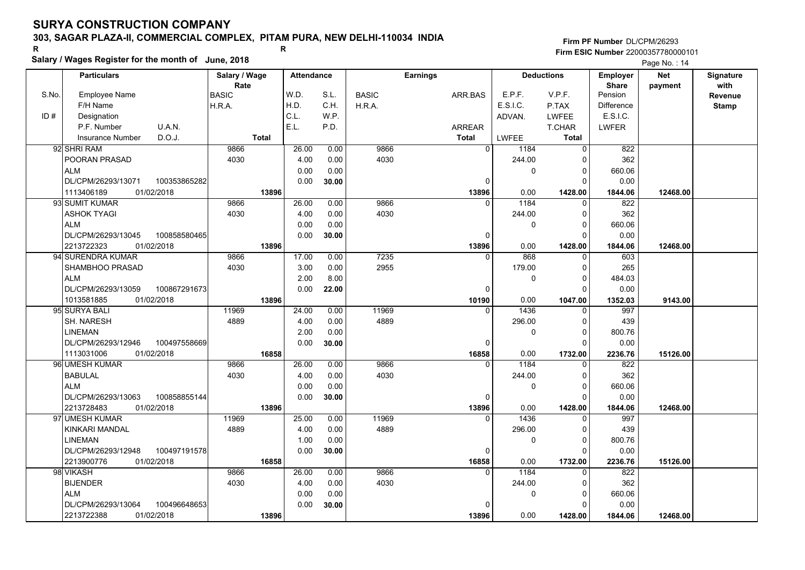### **303, SAGAR PLAZA-II, COMMERCIAL COMPLEX, PITAM PURA, NEW DELHI-110034 INDIA**

**Salary / Wages Register for the month of June, 2018 <sup>R</sup> <sup>R</sup>**

#### **Firm PF Number**DL/CPM/26293**Firm ESIC Number** 22000357780000101

| Rate<br>with<br><b>Share</b><br>payment<br>W.D.<br>S.L.<br>E.P.F.<br>V.P.F.<br>S.No.<br><b>Employee Name</b><br><b>BASIC</b><br>ARR.BAS<br>Pension<br><b>BASIC</b><br>Revenue<br>E.S.I.C.<br>H.D.<br>C.H.<br>F/H Name<br>H.R.A.<br>H.R.A.<br>P.TAX<br><b>Difference</b><br><b>Stamp</b><br>C.L.<br>W.P.<br>E.S.I.C.<br>ID#<br>Designation<br>ADVAN.<br><b>LWFEE</b><br>E.L.<br>P.D.<br>P.F. Number<br>U.A.N.<br>ARREAR<br>LWFER<br><b>T.CHAR</b><br>Insurance Number<br>D.O.J.<br><b>LWFEE</b><br><b>Total</b><br><b>Total</b><br><b>Total</b><br>$\overline{0}$<br>9866<br>92 SHRI RAM<br>9866<br>26.00<br>0.00<br>1184<br>$\mathbf 0$<br>822<br>4030<br>POORAN PRASAD<br>4030<br>4.00<br>0.00<br>244.00<br>362<br>$\Omega$<br><b>ALM</b><br>0.00<br>0.00<br>0<br>$\Omega$<br>660.06<br>DL/CPM/26293/13071<br>100353865282<br>0.00<br>0.00<br>30.00<br>$\mathbf 0$<br>$\Omega$<br>01/02/2018<br>13896<br>13896<br>1428.00<br>12468.00<br>1113406189<br>0.00<br>1844.06<br>1184<br>93 SUMIT KUMAR<br>9866<br>26.00<br>0.00<br>9866<br>822<br>$\Omega$<br>$\mathbf 0$<br>4030<br>4030<br>362<br><b>ASHOK TYAGI</b><br>4.00<br>0.00<br>244.00<br>$\Omega$<br><b>ALM</b><br>0.00<br>0.00<br>$\Omega$<br>660.06<br>0<br>DL/CPM/26293/13045<br>0.00<br>0.00<br>100858580465<br>30.00<br>$\mathbf 0$<br>$\Omega$<br>1428.00<br>2213722323<br>01/02/2018<br>13896<br>13896<br>0.00<br>1844.06<br>12468.00<br>94 SURENDRA KUMAR<br>17.00<br>7235<br>868<br>603<br>9866<br>0.00<br>$\Omega$<br>0<br>4030<br>3.00<br>2955<br>SHAMBHOO PRASAD<br>0.00<br>179.00<br>$\Omega$<br>265<br>2.00<br>8.00<br><b>ALM</b><br>0<br>$\Omega$<br>484.03<br>DL/CPM/26293/13059<br>0.00<br>22.00<br>0.00<br>100867291673<br>$\mathbf 0$<br>$\Omega$<br>13896<br>0.00<br>1047.00<br>1352.03<br>9143.00<br>1013581885<br>01/02/2018<br>10190<br>11969<br>95 SURYA BALI<br>11969<br>24.00<br>1436<br>997<br>0.00<br>$\Omega$<br>$\mathbf 0$<br>4889<br>4889<br><b>SH. NARESH</b><br>4.00<br>0.00<br>296.00<br>0<br>439<br><b>LINEMAN</b><br>2.00<br>0.00<br>$\Omega$<br>800.76<br>0<br>DL/CPM/26293/12946<br>100497558669<br>0.00<br>0.00<br>30.00<br>$\mathbf 0$<br>$\Omega$<br>1113031006<br>01/02/2018<br>0.00<br>16858<br>16858<br>1732.00<br>2236.76<br>15126.00<br>96 UMESH KUMAR<br>9866<br>1184<br>9866<br>26.00<br>0.00<br>822<br>$\Omega$<br>$\Omega$<br>4030<br>362<br><b>BABULAL</b><br>4030<br>4.00<br>0.00<br>244.00<br>$\Omega$<br><b>ALM</b><br>0.00<br>0.00<br>$\mathbf 0$<br>660.06<br>0<br>100858855144<br>0.00<br>DL/CPM/26293/13063<br>0.00<br>0<br>$\Omega$<br>30.00<br>2213728483<br>01/02/2018<br>0.00<br>13896<br>13896<br>1428.00<br>12468.00<br>1844.06<br>11969<br>25.00<br>11969<br>1436<br>997<br>97 UMESH KUMAR<br>0.00<br>$\Omega$<br>$\Omega$<br>4889<br>4889<br>KINKARI MANDAL<br>4.00<br>0.00<br>296.00<br>439<br>0<br>0.00<br><b>LINEMAN</b><br>1.00<br>0<br>$\Omega$<br>800.76<br>DL/CPM/26293/12948<br>100497191578<br>0.00<br>0.00<br>30.00<br>$\mathbf 0$<br>$\Omega$<br>2213900776<br>01/02/2018<br>16858<br>16858<br>0.00<br>2236.76<br>15126.00<br>1732.00<br>9866<br>26.00<br>9866<br>1184<br>98 VIKASH<br>0.00<br>$\Omega$<br>822<br>0<br>4030<br>362<br><b>BIJENDER</b><br>4030<br>4.00<br>0.00<br>244.00<br>$\Omega$<br><b>ALM</b><br>0.00<br>0.00<br>0<br>$\mathbf 0$<br>660.06<br>DL/CPM/26293/13064<br>100496648653<br>0.00<br>30.00<br>$\Omega$<br>$\Omega$<br>0.00<br>2213722388<br>01/02/2018<br>0.00<br>13896<br>13896<br>1428.00<br>12468.00<br>1844.06 | <b>Particulars</b> | Salary / Wage |  | <b>Attendance</b> |  | <b>Earnings</b> | <b>Deductions</b> |  | <b>Net</b> | Signature |
|------------------------------------------------------------------------------------------------------------------------------------------------------------------------------------------------------------------------------------------------------------------------------------------------------------------------------------------------------------------------------------------------------------------------------------------------------------------------------------------------------------------------------------------------------------------------------------------------------------------------------------------------------------------------------------------------------------------------------------------------------------------------------------------------------------------------------------------------------------------------------------------------------------------------------------------------------------------------------------------------------------------------------------------------------------------------------------------------------------------------------------------------------------------------------------------------------------------------------------------------------------------------------------------------------------------------------------------------------------------------------------------------------------------------------------------------------------------------------------------------------------------------------------------------------------------------------------------------------------------------------------------------------------------------------------------------------------------------------------------------------------------------------------------------------------------------------------------------------------------------------------------------------------------------------------------------------------------------------------------------------------------------------------------------------------------------------------------------------------------------------------------------------------------------------------------------------------------------------------------------------------------------------------------------------------------------------------------------------------------------------------------------------------------------------------------------------------------------------------------------------------------------------------------------------------------------------------------------------------------------------------------------------------------------------------------------------------------------------------------------------------------------------------------------------------------------------------------------------------------------------------------------------------------------------------------------------------------------------------------------------------------------------------------------------------------------------------------------------------------------------------------------------------------------------------------------------------------------------------------------------------------------------------------------------------------------------------------------------------------------------------------------------------------------------------------------------------------------------------|--------------------|---------------|--|-------------------|--|-----------------|-------------------|--|------------|-----------|
|                                                                                                                                                                                                                                                                                                                                                                                                                                                                                                                                                                                                                                                                                                                                                                                                                                                                                                                                                                                                                                                                                                                                                                                                                                                                                                                                                                                                                                                                                                                                                                                                                                                                                                                                                                                                                                                                                                                                                                                                                                                                                                                                                                                                                                                                                                                                                                                                                                                                                                                                                                                                                                                                                                                                                                                                                                                                                                                                                                                                                                                                                                                                                                                                                                                                                                                                                                                                                                                                                    |                    |               |  |                   |  |                 |                   |  |            |           |
|                                                                                                                                                                                                                                                                                                                                                                                                                                                                                                                                                                                                                                                                                                                                                                                                                                                                                                                                                                                                                                                                                                                                                                                                                                                                                                                                                                                                                                                                                                                                                                                                                                                                                                                                                                                                                                                                                                                                                                                                                                                                                                                                                                                                                                                                                                                                                                                                                                                                                                                                                                                                                                                                                                                                                                                                                                                                                                                                                                                                                                                                                                                                                                                                                                                                                                                                                                                                                                                                                    |                    |               |  |                   |  |                 |                   |  |            |           |
|                                                                                                                                                                                                                                                                                                                                                                                                                                                                                                                                                                                                                                                                                                                                                                                                                                                                                                                                                                                                                                                                                                                                                                                                                                                                                                                                                                                                                                                                                                                                                                                                                                                                                                                                                                                                                                                                                                                                                                                                                                                                                                                                                                                                                                                                                                                                                                                                                                                                                                                                                                                                                                                                                                                                                                                                                                                                                                                                                                                                                                                                                                                                                                                                                                                                                                                                                                                                                                                                                    |                    |               |  |                   |  |                 |                   |  |            |           |
|                                                                                                                                                                                                                                                                                                                                                                                                                                                                                                                                                                                                                                                                                                                                                                                                                                                                                                                                                                                                                                                                                                                                                                                                                                                                                                                                                                                                                                                                                                                                                                                                                                                                                                                                                                                                                                                                                                                                                                                                                                                                                                                                                                                                                                                                                                                                                                                                                                                                                                                                                                                                                                                                                                                                                                                                                                                                                                                                                                                                                                                                                                                                                                                                                                                                                                                                                                                                                                                                                    |                    |               |  |                   |  |                 |                   |  |            |           |
|                                                                                                                                                                                                                                                                                                                                                                                                                                                                                                                                                                                                                                                                                                                                                                                                                                                                                                                                                                                                                                                                                                                                                                                                                                                                                                                                                                                                                                                                                                                                                                                                                                                                                                                                                                                                                                                                                                                                                                                                                                                                                                                                                                                                                                                                                                                                                                                                                                                                                                                                                                                                                                                                                                                                                                                                                                                                                                                                                                                                                                                                                                                                                                                                                                                                                                                                                                                                                                                                                    |                    |               |  |                   |  |                 |                   |  |            |           |
|                                                                                                                                                                                                                                                                                                                                                                                                                                                                                                                                                                                                                                                                                                                                                                                                                                                                                                                                                                                                                                                                                                                                                                                                                                                                                                                                                                                                                                                                                                                                                                                                                                                                                                                                                                                                                                                                                                                                                                                                                                                                                                                                                                                                                                                                                                                                                                                                                                                                                                                                                                                                                                                                                                                                                                                                                                                                                                                                                                                                                                                                                                                                                                                                                                                                                                                                                                                                                                                                                    |                    |               |  |                   |  |                 |                   |  |            |           |
|                                                                                                                                                                                                                                                                                                                                                                                                                                                                                                                                                                                                                                                                                                                                                                                                                                                                                                                                                                                                                                                                                                                                                                                                                                                                                                                                                                                                                                                                                                                                                                                                                                                                                                                                                                                                                                                                                                                                                                                                                                                                                                                                                                                                                                                                                                                                                                                                                                                                                                                                                                                                                                                                                                                                                                                                                                                                                                                                                                                                                                                                                                                                                                                                                                                                                                                                                                                                                                                                                    |                    |               |  |                   |  |                 |                   |  |            |           |
|                                                                                                                                                                                                                                                                                                                                                                                                                                                                                                                                                                                                                                                                                                                                                                                                                                                                                                                                                                                                                                                                                                                                                                                                                                                                                                                                                                                                                                                                                                                                                                                                                                                                                                                                                                                                                                                                                                                                                                                                                                                                                                                                                                                                                                                                                                                                                                                                                                                                                                                                                                                                                                                                                                                                                                                                                                                                                                                                                                                                                                                                                                                                                                                                                                                                                                                                                                                                                                                                                    |                    |               |  |                   |  |                 |                   |  |            |           |
|                                                                                                                                                                                                                                                                                                                                                                                                                                                                                                                                                                                                                                                                                                                                                                                                                                                                                                                                                                                                                                                                                                                                                                                                                                                                                                                                                                                                                                                                                                                                                                                                                                                                                                                                                                                                                                                                                                                                                                                                                                                                                                                                                                                                                                                                                                                                                                                                                                                                                                                                                                                                                                                                                                                                                                                                                                                                                                                                                                                                                                                                                                                                                                                                                                                                                                                                                                                                                                                                                    |                    |               |  |                   |  |                 |                   |  |            |           |
|                                                                                                                                                                                                                                                                                                                                                                                                                                                                                                                                                                                                                                                                                                                                                                                                                                                                                                                                                                                                                                                                                                                                                                                                                                                                                                                                                                                                                                                                                                                                                                                                                                                                                                                                                                                                                                                                                                                                                                                                                                                                                                                                                                                                                                                                                                                                                                                                                                                                                                                                                                                                                                                                                                                                                                                                                                                                                                                                                                                                                                                                                                                                                                                                                                                                                                                                                                                                                                                                                    |                    |               |  |                   |  |                 |                   |  |            |           |
|                                                                                                                                                                                                                                                                                                                                                                                                                                                                                                                                                                                                                                                                                                                                                                                                                                                                                                                                                                                                                                                                                                                                                                                                                                                                                                                                                                                                                                                                                                                                                                                                                                                                                                                                                                                                                                                                                                                                                                                                                                                                                                                                                                                                                                                                                                                                                                                                                                                                                                                                                                                                                                                                                                                                                                                                                                                                                                                                                                                                                                                                                                                                                                                                                                                                                                                                                                                                                                                                                    |                    |               |  |                   |  |                 |                   |  |            |           |
|                                                                                                                                                                                                                                                                                                                                                                                                                                                                                                                                                                                                                                                                                                                                                                                                                                                                                                                                                                                                                                                                                                                                                                                                                                                                                                                                                                                                                                                                                                                                                                                                                                                                                                                                                                                                                                                                                                                                                                                                                                                                                                                                                                                                                                                                                                                                                                                                                                                                                                                                                                                                                                                                                                                                                                                                                                                                                                                                                                                                                                                                                                                                                                                                                                                                                                                                                                                                                                                                                    |                    |               |  |                   |  |                 |                   |  |            |           |
|                                                                                                                                                                                                                                                                                                                                                                                                                                                                                                                                                                                                                                                                                                                                                                                                                                                                                                                                                                                                                                                                                                                                                                                                                                                                                                                                                                                                                                                                                                                                                                                                                                                                                                                                                                                                                                                                                                                                                                                                                                                                                                                                                                                                                                                                                                                                                                                                                                                                                                                                                                                                                                                                                                                                                                                                                                                                                                                                                                                                                                                                                                                                                                                                                                                                                                                                                                                                                                                                                    |                    |               |  |                   |  |                 |                   |  |            |           |
|                                                                                                                                                                                                                                                                                                                                                                                                                                                                                                                                                                                                                                                                                                                                                                                                                                                                                                                                                                                                                                                                                                                                                                                                                                                                                                                                                                                                                                                                                                                                                                                                                                                                                                                                                                                                                                                                                                                                                                                                                                                                                                                                                                                                                                                                                                                                                                                                                                                                                                                                                                                                                                                                                                                                                                                                                                                                                                                                                                                                                                                                                                                                                                                                                                                                                                                                                                                                                                                                                    |                    |               |  |                   |  |                 |                   |  |            |           |
|                                                                                                                                                                                                                                                                                                                                                                                                                                                                                                                                                                                                                                                                                                                                                                                                                                                                                                                                                                                                                                                                                                                                                                                                                                                                                                                                                                                                                                                                                                                                                                                                                                                                                                                                                                                                                                                                                                                                                                                                                                                                                                                                                                                                                                                                                                                                                                                                                                                                                                                                                                                                                                                                                                                                                                                                                                                                                                                                                                                                                                                                                                                                                                                                                                                                                                                                                                                                                                                                                    |                    |               |  |                   |  |                 |                   |  |            |           |
|                                                                                                                                                                                                                                                                                                                                                                                                                                                                                                                                                                                                                                                                                                                                                                                                                                                                                                                                                                                                                                                                                                                                                                                                                                                                                                                                                                                                                                                                                                                                                                                                                                                                                                                                                                                                                                                                                                                                                                                                                                                                                                                                                                                                                                                                                                                                                                                                                                                                                                                                                                                                                                                                                                                                                                                                                                                                                                                                                                                                                                                                                                                                                                                                                                                                                                                                                                                                                                                                                    |                    |               |  |                   |  |                 |                   |  |            |           |
|                                                                                                                                                                                                                                                                                                                                                                                                                                                                                                                                                                                                                                                                                                                                                                                                                                                                                                                                                                                                                                                                                                                                                                                                                                                                                                                                                                                                                                                                                                                                                                                                                                                                                                                                                                                                                                                                                                                                                                                                                                                                                                                                                                                                                                                                                                                                                                                                                                                                                                                                                                                                                                                                                                                                                                                                                                                                                                                                                                                                                                                                                                                                                                                                                                                                                                                                                                                                                                                                                    |                    |               |  |                   |  |                 |                   |  |            |           |
|                                                                                                                                                                                                                                                                                                                                                                                                                                                                                                                                                                                                                                                                                                                                                                                                                                                                                                                                                                                                                                                                                                                                                                                                                                                                                                                                                                                                                                                                                                                                                                                                                                                                                                                                                                                                                                                                                                                                                                                                                                                                                                                                                                                                                                                                                                                                                                                                                                                                                                                                                                                                                                                                                                                                                                                                                                                                                                                                                                                                                                                                                                                                                                                                                                                                                                                                                                                                                                                                                    |                    |               |  |                   |  |                 |                   |  |            |           |
|                                                                                                                                                                                                                                                                                                                                                                                                                                                                                                                                                                                                                                                                                                                                                                                                                                                                                                                                                                                                                                                                                                                                                                                                                                                                                                                                                                                                                                                                                                                                                                                                                                                                                                                                                                                                                                                                                                                                                                                                                                                                                                                                                                                                                                                                                                                                                                                                                                                                                                                                                                                                                                                                                                                                                                                                                                                                                                                                                                                                                                                                                                                                                                                                                                                                                                                                                                                                                                                                                    |                    |               |  |                   |  |                 |                   |  |            |           |
|                                                                                                                                                                                                                                                                                                                                                                                                                                                                                                                                                                                                                                                                                                                                                                                                                                                                                                                                                                                                                                                                                                                                                                                                                                                                                                                                                                                                                                                                                                                                                                                                                                                                                                                                                                                                                                                                                                                                                                                                                                                                                                                                                                                                                                                                                                                                                                                                                                                                                                                                                                                                                                                                                                                                                                                                                                                                                                                                                                                                                                                                                                                                                                                                                                                                                                                                                                                                                                                                                    |                    |               |  |                   |  |                 |                   |  |            |           |
|                                                                                                                                                                                                                                                                                                                                                                                                                                                                                                                                                                                                                                                                                                                                                                                                                                                                                                                                                                                                                                                                                                                                                                                                                                                                                                                                                                                                                                                                                                                                                                                                                                                                                                                                                                                                                                                                                                                                                                                                                                                                                                                                                                                                                                                                                                                                                                                                                                                                                                                                                                                                                                                                                                                                                                                                                                                                                                                                                                                                                                                                                                                                                                                                                                                                                                                                                                                                                                                                                    |                    |               |  |                   |  |                 |                   |  |            |           |
|                                                                                                                                                                                                                                                                                                                                                                                                                                                                                                                                                                                                                                                                                                                                                                                                                                                                                                                                                                                                                                                                                                                                                                                                                                                                                                                                                                                                                                                                                                                                                                                                                                                                                                                                                                                                                                                                                                                                                                                                                                                                                                                                                                                                                                                                                                                                                                                                                                                                                                                                                                                                                                                                                                                                                                                                                                                                                                                                                                                                                                                                                                                                                                                                                                                                                                                                                                                                                                                                                    |                    |               |  |                   |  |                 |                   |  |            |           |
|                                                                                                                                                                                                                                                                                                                                                                                                                                                                                                                                                                                                                                                                                                                                                                                                                                                                                                                                                                                                                                                                                                                                                                                                                                                                                                                                                                                                                                                                                                                                                                                                                                                                                                                                                                                                                                                                                                                                                                                                                                                                                                                                                                                                                                                                                                                                                                                                                                                                                                                                                                                                                                                                                                                                                                                                                                                                                                                                                                                                                                                                                                                                                                                                                                                                                                                                                                                                                                                                                    |                    |               |  |                   |  |                 |                   |  |            |           |
|                                                                                                                                                                                                                                                                                                                                                                                                                                                                                                                                                                                                                                                                                                                                                                                                                                                                                                                                                                                                                                                                                                                                                                                                                                                                                                                                                                                                                                                                                                                                                                                                                                                                                                                                                                                                                                                                                                                                                                                                                                                                                                                                                                                                                                                                                                                                                                                                                                                                                                                                                                                                                                                                                                                                                                                                                                                                                                                                                                                                                                                                                                                                                                                                                                                                                                                                                                                                                                                                                    |                    |               |  |                   |  |                 |                   |  |            |           |
|                                                                                                                                                                                                                                                                                                                                                                                                                                                                                                                                                                                                                                                                                                                                                                                                                                                                                                                                                                                                                                                                                                                                                                                                                                                                                                                                                                                                                                                                                                                                                                                                                                                                                                                                                                                                                                                                                                                                                                                                                                                                                                                                                                                                                                                                                                                                                                                                                                                                                                                                                                                                                                                                                                                                                                                                                                                                                                                                                                                                                                                                                                                                                                                                                                                                                                                                                                                                                                                                                    |                    |               |  |                   |  |                 |                   |  |            |           |
|                                                                                                                                                                                                                                                                                                                                                                                                                                                                                                                                                                                                                                                                                                                                                                                                                                                                                                                                                                                                                                                                                                                                                                                                                                                                                                                                                                                                                                                                                                                                                                                                                                                                                                                                                                                                                                                                                                                                                                                                                                                                                                                                                                                                                                                                                                                                                                                                                                                                                                                                                                                                                                                                                                                                                                                                                                                                                                                                                                                                                                                                                                                                                                                                                                                                                                                                                                                                                                                                                    |                    |               |  |                   |  |                 |                   |  |            |           |
|                                                                                                                                                                                                                                                                                                                                                                                                                                                                                                                                                                                                                                                                                                                                                                                                                                                                                                                                                                                                                                                                                                                                                                                                                                                                                                                                                                                                                                                                                                                                                                                                                                                                                                                                                                                                                                                                                                                                                                                                                                                                                                                                                                                                                                                                                                                                                                                                                                                                                                                                                                                                                                                                                                                                                                                                                                                                                                                                                                                                                                                                                                                                                                                                                                                                                                                                                                                                                                                                                    |                    |               |  |                   |  |                 |                   |  |            |           |
|                                                                                                                                                                                                                                                                                                                                                                                                                                                                                                                                                                                                                                                                                                                                                                                                                                                                                                                                                                                                                                                                                                                                                                                                                                                                                                                                                                                                                                                                                                                                                                                                                                                                                                                                                                                                                                                                                                                                                                                                                                                                                                                                                                                                                                                                                                                                                                                                                                                                                                                                                                                                                                                                                                                                                                                                                                                                                                                                                                                                                                                                                                                                                                                                                                                                                                                                                                                                                                                                                    |                    |               |  |                   |  |                 |                   |  |            |           |
|                                                                                                                                                                                                                                                                                                                                                                                                                                                                                                                                                                                                                                                                                                                                                                                                                                                                                                                                                                                                                                                                                                                                                                                                                                                                                                                                                                                                                                                                                                                                                                                                                                                                                                                                                                                                                                                                                                                                                                                                                                                                                                                                                                                                                                                                                                                                                                                                                                                                                                                                                                                                                                                                                                                                                                                                                                                                                                                                                                                                                                                                                                                                                                                                                                                                                                                                                                                                                                                                                    |                    |               |  |                   |  |                 |                   |  |            |           |
|                                                                                                                                                                                                                                                                                                                                                                                                                                                                                                                                                                                                                                                                                                                                                                                                                                                                                                                                                                                                                                                                                                                                                                                                                                                                                                                                                                                                                                                                                                                                                                                                                                                                                                                                                                                                                                                                                                                                                                                                                                                                                                                                                                                                                                                                                                                                                                                                                                                                                                                                                                                                                                                                                                                                                                                                                                                                                                                                                                                                                                                                                                                                                                                                                                                                                                                                                                                                                                                                                    |                    |               |  |                   |  |                 |                   |  |            |           |
|                                                                                                                                                                                                                                                                                                                                                                                                                                                                                                                                                                                                                                                                                                                                                                                                                                                                                                                                                                                                                                                                                                                                                                                                                                                                                                                                                                                                                                                                                                                                                                                                                                                                                                                                                                                                                                                                                                                                                                                                                                                                                                                                                                                                                                                                                                                                                                                                                                                                                                                                                                                                                                                                                                                                                                                                                                                                                                                                                                                                                                                                                                                                                                                                                                                                                                                                                                                                                                                                                    |                    |               |  |                   |  |                 |                   |  |            |           |
|                                                                                                                                                                                                                                                                                                                                                                                                                                                                                                                                                                                                                                                                                                                                                                                                                                                                                                                                                                                                                                                                                                                                                                                                                                                                                                                                                                                                                                                                                                                                                                                                                                                                                                                                                                                                                                                                                                                                                                                                                                                                                                                                                                                                                                                                                                                                                                                                                                                                                                                                                                                                                                                                                                                                                                                                                                                                                                                                                                                                                                                                                                                                                                                                                                                                                                                                                                                                                                                                                    |                    |               |  |                   |  |                 |                   |  |            |           |
|                                                                                                                                                                                                                                                                                                                                                                                                                                                                                                                                                                                                                                                                                                                                                                                                                                                                                                                                                                                                                                                                                                                                                                                                                                                                                                                                                                                                                                                                                                                                                                                                                                                                                                                                                                                                                                                                                                                                                                                                                                                                                                                                                                                                                                                                                                                                                                                                                                                                                                                                                                                                                                                                                                                                                                                                                                                                                                                                                                                                                                                                                                                                                                                                                                                                                                                                                                                                                                                                                    |                    |               |  |                   |  |                 |                   |  |            |           |
|                                                                                                                                                                                                                                                                                                                                                                                                                                                                                                                                                                                                                                                                                                                                                                                                                                                                                                                                                                                                                                                                                                                                                                                                                                                                                                                                                                                                                                                                                                                                                                                                                                                                                                                                                                                                                                                                                                                                                                                                                                                                                                                                                                                                                                                                                                                                                                                                                                                                                                                                                                                                                                                                                                                                                                                                                                                                                                                                                                                                                                                                                                                                                                                                                                                                                                                                                                                                                                                                                    |                    |               |  |                   |  |                 |                   |  |            |           |
|                                                                                                                                                                                                                                                                                                                                                                                                                                                                                                                                                                                                                                                                                                                                                                                                                                                                                                                                                                                                                                                                                                                                                                                                                                                                                                                                                                                                                                                                                                                                                                                                                                                                                                                                                                                                                                                                                                                                                                                                                                                                                                                                                                                                                                                                                                                                                                                                                                                                                                                                                                                                                                                                                                                                                                                                                                                                                                                                                                                                                                                                                                                                                                                                                                                                                                                                                                                                                                                                                    |                    |               |  |                   |  |                 |                   |  |            |           |
|                                                                                                                                                                                                                                                                                                                                                                                                                                                                                                                                                                                                                                                                                                                                                                                                                                                                                                                                                                                                                                                                                                                                                                                                                                                                                                                                                                                                                                                                                                                                                                                                                                                                                                                                                                                                                                                                                                                                                                                                                                                                                                                                                                                                                                                                                                                                                                                                                                                                                                                                                                                                                                                                                                                                                                                                                                                                                                                                                                                                                                                                                                                                                                                                                                                                                                                                                                                                                                                                                    |                    |               |  |                   |  |                 |                   |  |            |           |
|                                                                                                                                                                                                                                                                                                                                                                                                                                                                                                                                                                                                                                                                                                                                                                                                                                                                                                                                                                                                                                                                                                                                                                                                                                                                                                                                                                                                                                                                                                                                                                                                                                                                                                                                                                                                                                                                                                                                                                                                                                                                                                                                                                                                                                                                                                                                                                                                                                                                                                                                                                                                                                                                                                                                                                                                                                                                                                                                                                                                                                                                                                                                                                                                                                                                                                                                                                                                                                                                                    |                    |               |  |                   |  |                 |                   |  |            |           |
|                                                                                                                                                                                                                                                                                                                                                                                                                                                                                                                                                                                                                                                                                                                                                                                                                                                                                                                                                                                                                                                                                                                                                                                                                                                                                                                                                                                                                                                                                                                                                                                                                                                                                                                                                                                                                                                                                                                                                                                                                                                                                                                                                                                                                                                                                                                                                                                                                                                                                                                                                                                                                                                                                                                                                                                                                                                                                                                                                                                                                                                                                                                                                                                                                                                                                                                                                                                                                                                                                    |                    |               |  |                   |  |                 |                   |  |            |           |
|                                                                                                                                                                                                                                                                                                                                                                                                                                                                                                                                                                                                                                                                                                                                                                                                                                                                                                                                                                                                                                                                                                                                                                                                                                                                                                                                                                                                                                                                                                                                                                                                                                                                                                                                                                                                                                                                                                                                                                                                                                                                                                                                                                                                                                                                                                                                                                                                                                                                                                                                                                                                                                                                                                                                                                                                                                                                                                                                                                                                                                                                                                                                                                                                                                                                                                                                                                                                                                                                                    |                    |               |  |                   |  |                 |                   |  |            |           |
|                                                                                                                                                                                                                                                                                                                                                                                                                                                                                                                                                                                                                                                                                                                                                                                                                                                                                                                                                                                                                                                                                                                                                                                                                                                                                                                                                                                                                                                                                                                                                                                                                                                                                                                                                                                                                                                                                                                                                                                                                                                                                                                                                                                                                                                                                                                                                                                                                                                                                                                                                                                                                                                                                                                                                                                                                                                                                                                                                                                                                                                                                                                                                                                                                                                                                                                                                                                                                                                                                    |                    |               |  |                   |  |                 |                   |  |            |           |